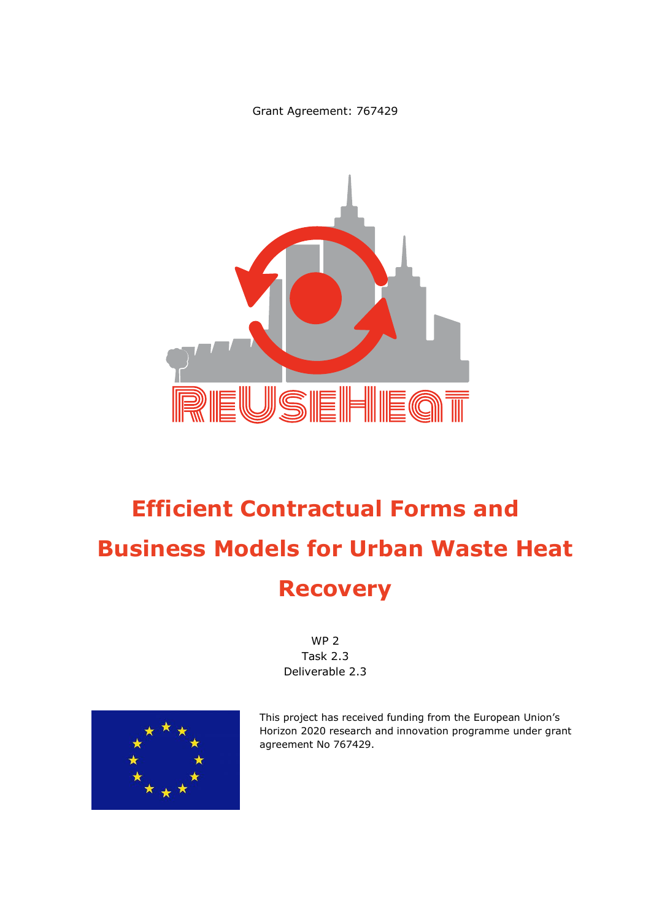Grant Agreement: 767429



# **Efficient Contractual Forms and Business Models for Urban Waste Heat Recovery**

WP 2 Task 2.3 Deliverable 2.3



This project has received funding from the European Union's Horizon 2020 research and innovation programme under grant agreement No 767429.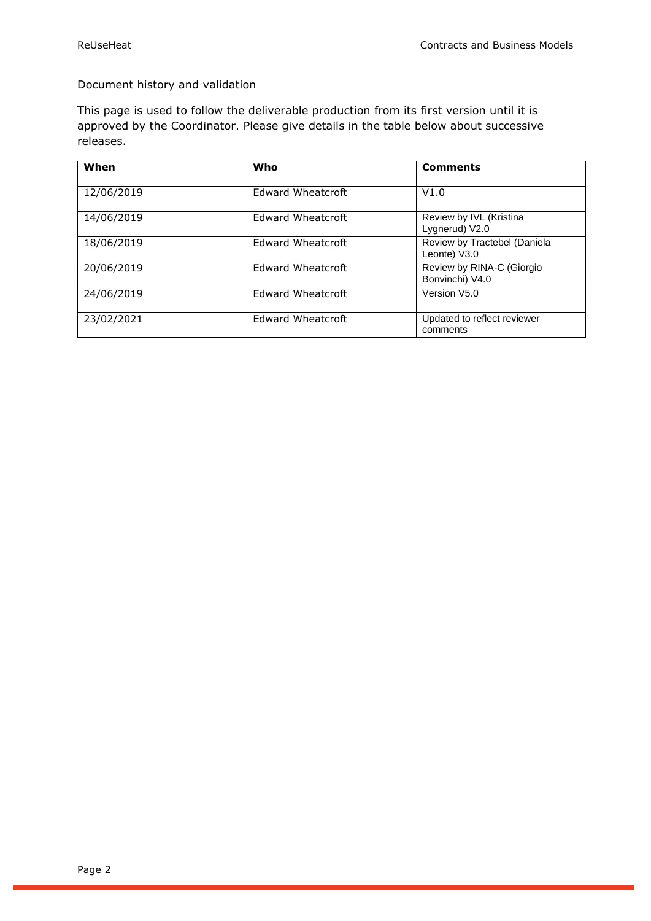#### Document history and validation

This page is used to follow the deliverable production from its first version until it is approved by the Coordinator. Please give details in the table below about successive releases.

| When       | Who                      | <b>Comments</b>                              |
|------------|--------------------------|----------------------------------------------|
| 12/06/2019 | Edward Wheatcroft        | V1.0                                         |
| 14/06/2019 | <b>Edward Wheatcroft</b> | Review by IVL (Kristina<br>Lygnerud) V2.0    |
| 18/06/2019 | Edward Wheatcroft        | Review by Tractebel (Daniela<br>Leonte) V3.0 |
| 20/06/2019 | Edward Wheatcroft        | Review by RINA-C (Giorgio<br>Bonvinchi) V4.0 |
| 24/06/2019 | Edward Wheatcroft        | Version V5.0                                 |
| 23/02/2021 | Edward Wheatcroft        | Updated to reflect reviewer<br>comments      |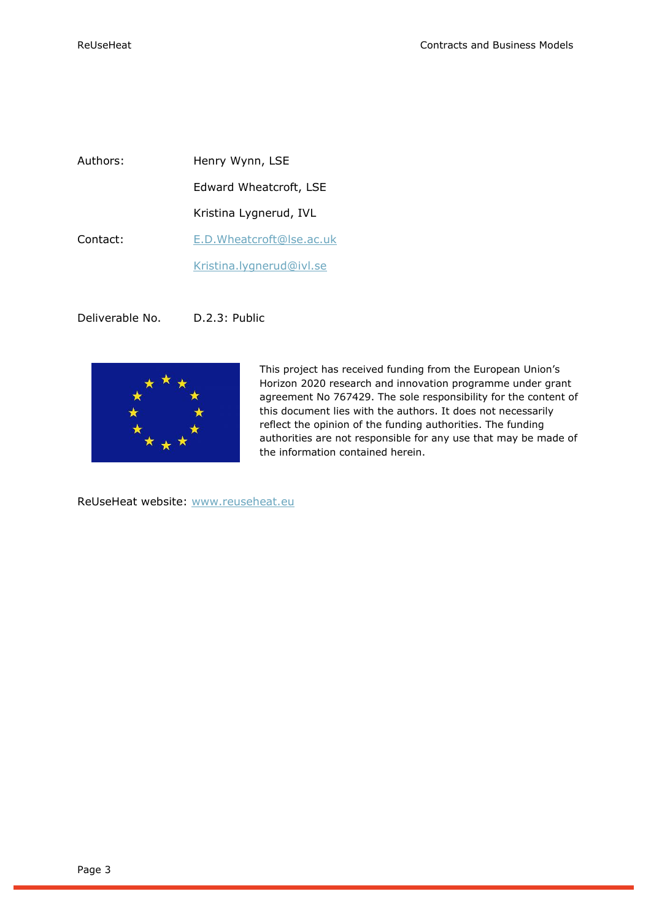Authors: Henry Wynn, LSE Edward Wheatcroft, LSE Kristina Lygnerud, IVL Contact: [E.D.Wheatcroft@lse.ac.uk](mailto:E.D.Wheatcroft@lse.ac.uk) [Kristina.lygnerud@ivl.se](mailto:Kristina.lygnerud@ivl.se)

Deliverable No. D.2.3: Public



This project has received funding from the European Union's Horizon 2020 research and innovation programme under grant agreement No 767429. The sole responsibility for the content of this document lies with the authors. It does not necessarily reflect the opinion of the funding authorities. The funding authorities are not responsible for any use that may be made of the information contained herein.

ReUseHeat website: [www.reuseheat.eu](http://www.reuseheat.eu/)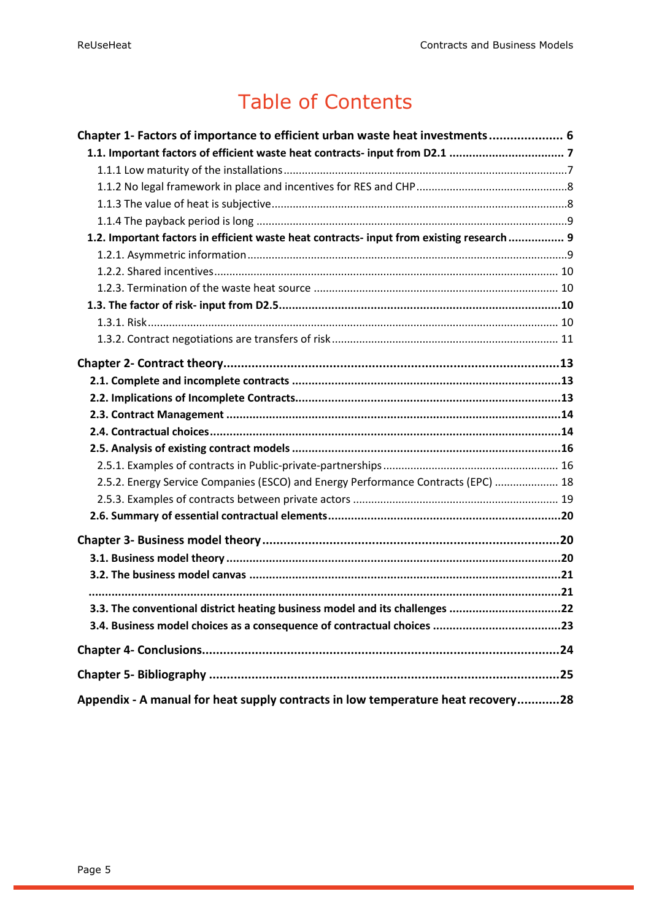## Table of Contents

| Chapter 1- Factors of importance to efficient urban waste heat investments 6              |
|-------------------------------------------------------------------------------------------|
|                                                                                           |
|                                                                                           |
|                                                                                           |
|                                                                                           |
|                                                                                           |
| 1.2. Important factors in efficient waste heat contracts- input from existing research  9 |
|                                                                                           |
|                                                                                           |
|                                                                                           |
|                                                                                           |
|                                                                                           |
|                                                                                           |
|                                                                                           |
|                                                                                           |
|                                                                                           |
|                                                                                           |
|                                                                                           |
|                                                                                           |
|                                                                                           |
| 2.5.2. Energy Service Companies (ESCO) and Energy Performance Contracts (EPC)  18         |
|                                                                                           |
|                                                                                           |
|                                                                                           |
|                                                                                           |
|                                                                                           |
|                                                                                           |
|                                                                                           |
| 3.3. The conventional district heating business model and its challenges 22               |
|                                                                                           |
|                                                                                           |
|                                                                                           |
| Appendix - A manual for heat supply contracts in low temperature heat recovery28          |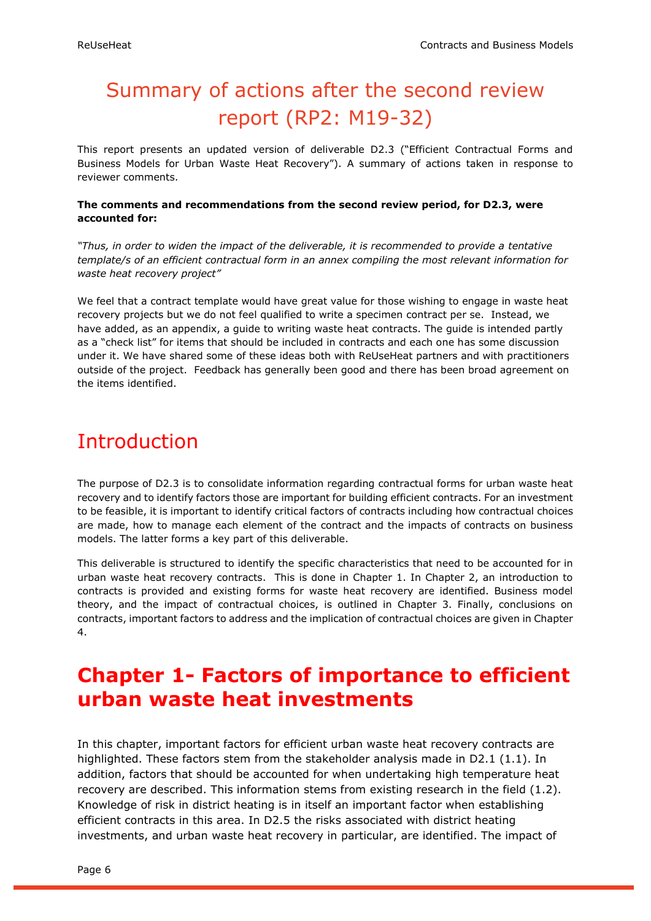## Summary of actions after the second review report (RP2: M19-32)

This report presents an updated version of deliverable D2.3 ("Efficient Contractual Forms and Business Models for Urban Waste Heat Recovery"). A summary of actions taken in response to reviewer comments.

#### **The comments and recommendations from the second review period, for D2.3, were accounted for:**

*"Thus, in order to widen the impact of the deliverable, it is recommended to provide a tentative template/s of an efficient contractual form in an annex compiling the most relevant information for waste heat recovery project"*

We feel that a contract template would have great value for those wishing to engage in waste heat recovery projects but we do not feel qualified to write a specimen contract per se. Instead, we have added, as an appendix, a guide to writing waste heat contracts. The guide is intended partly as a "check list" for items that should be included in contracts and each one has some discussion under it. We have shared some of these ideas both with ReUseHeat partners and with practitioners outside of the project. Feedback has generally been good and there has been broad agreement on the items identified.

## **Introduction**

The purpose of D2.3 is to consolidate information regarding contractual forms for urban waste heat recovery and to identify factors those are important for building efficient contracts. For an investment to be feasible, it is important to identify critical factors of contracts including how contractual choices are made, how to manage each element of the contract and the impacts of contracts on business models. The latter forms a key part of this deliverable.

This deliverable is structured to identify the specific characteristics that need to be accounted for in urban waste heat recovery contracts. This is done in Chapter 1. In Chapter 2, an introduction to contracts is provided and existing forms for waste heat recovery are identified. Business model theory, and the impact of contractual choices, is outlined in Chapter 3. Finally, conclusions on contracts, important factors to address and the implication of contractual choices are given in Chapter 4.

## <span id="page-5-0"></span>**Chapter 1- Factors of importance to efficient urban waste heat investments**

In this chapter, important factors for efficient urban waste heat recovery contracts are highlighted. These factors stem from the stakeholder analysis made in D2.1 (1.1). In addition, factors that should be accounted for when undertaking high temperature heat recovery are described. This information stems from existing research in the field (1.2). Knowledge of risk in district heating is in itself an important factor when establishing efficient contracts in this area. In D2.5 the risks associated with district heating investments, and urban waste heat recovery in particular, are identified. The impact of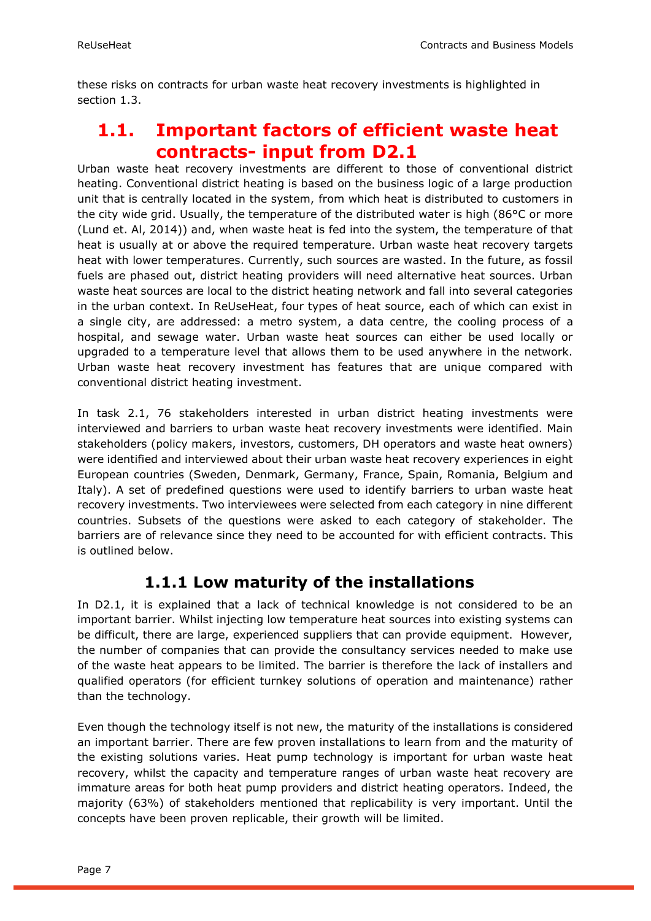these risks on contracts for urban waste heat recovery investments is highlighted in section 1.3.

### <span id="page-6-0"></span>**1.1. Important factors of efficient waste heat contracts- input from D2.1**

Urban waste heat recovery investments are different to those of conventional district heating. Conventional district heating is based on the business logic of a large production unit that is centrally located in the system, from which heat is distributed to customers in the city wide grid. Usually, the temperature of the distributed water is high (86°C or more (Lund et. Al, 2014)) and, when waste heat is fed into the system, the temperature of that heat is usually at or above the required temperature. Urban waste heat recovery targets heat with lower temperatures. Currently, such sources are wasted. In the future, as fossil fuels are phased out, district heating providers will need alternative heat sources. Urban waste heat sources are local to the district heating network and fall into several categories in the urban context. In ReUseHeat, four types of heat source, each of which can exist in a single city, are addressed: a metro system, a data centre, the cooling process of a hospital, and sewage water. Urban waste heat sources can either be used locally or upgraded to a temperature level that allows them to be used anywhere in the network. Urban waste heat recovery investment has features that are unique compared with conventional district heating investment.

In task 2.1, 76 stakeholders interested in urban district heating investments were interviewed and barriers to urban waste heat recovery investments were identified. Main stakeholders (policy makers, investors, customers, DH operators and waste heat owners) were identified and interviewed about their urban waste heat recovery experiences in eight European countries (Sweden, Denmark, Germany, France, Spain, Romania, Belgium and Italy). A set of predefined questions were used to identify barriers to urban waste heat recovery investments. Two interviewees were selected from each category in nine different countries. Subsets of the questions were asked to each category of stakeholder. The barriers are of relevance since they need to be accounted for with efficient contracts. This is outlined below.

### **1.1.1 Low maturity of the installations**

<span id="page-6-1"></span>In D2.1, it is explained that a lack of technical knowledge is not considered to be an important barrier. Whilst injecting low temperature heat sources into existing systems can be difficult, there are large, experienced suppliers that can provide equipment. However, the number of companies that can provide the consultancy services needed to make use of the waste heat appears to be limited. The barrier is therefore the lack of installers and qualified operators (for efficient turnkey solutions of operation and maintenance) rather than the technology.

Even though the technology itself is not new, the maturity of the installations is considered an important barrier. There are few proven installations to learn from and the maturity of the existing solutions varies. Heat pump technology is important for urban waste heat recovery, whilst the capacity and temperature ranges of urban waste heat recovery are immature areas for both heat pump providers and district heating operators. Indeed, the majority (63%) of stakeholders mentioned that replicability is very important. Until the concepts have been proven replicable, their growth will be limited.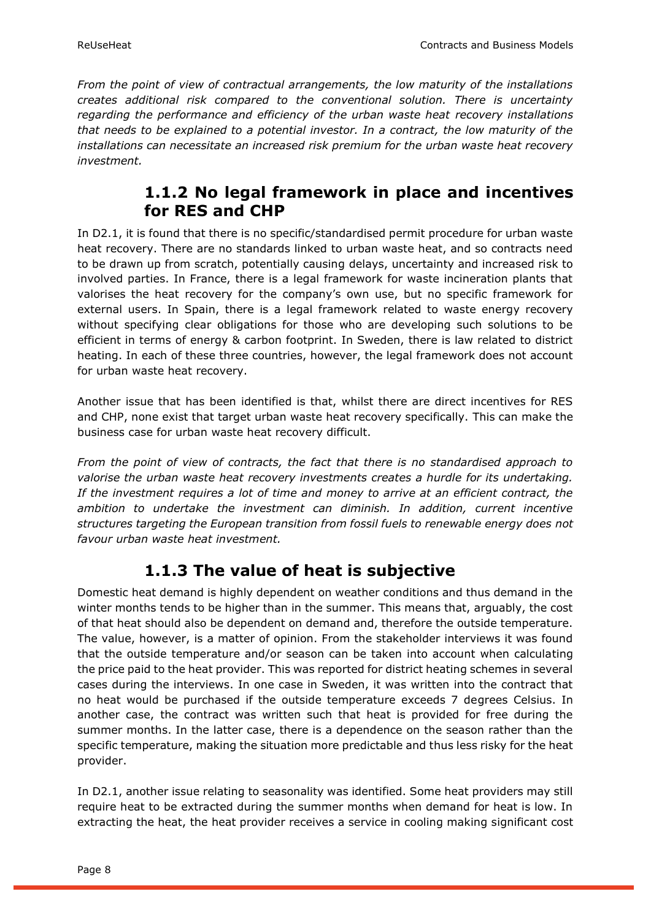*From the point of view of contractual arrangements, the low maturity of the installations creates additional risk compared to the conventional solution. There is uncertainty regarding the performance and efficiency of the urban waste heat recovery installations that needs to be explained to a potential investor. In a contract, the low maturity of the installations can necessitate an increased risk premium for the urban waste heat recovery investment.*

### **1.1.2 No legal framework in place and incentives for RES and CHP**

<span id="page-7-0"></span>In D2.1, it is found that there is no specific/standardised permit procedure for urban waste heat recovery. There are no standards linked to urban waste heat, and so contracts need to be drawn up from scratch, potentially causing delays, uncertainty and increased risk to involved parties. In France, there is a legal framework for waste incineration plants that valorises the heat recovery for the company's own use, but no specific framework for external users. In Spain, there is a legal framework related to waste energy recovery without specifying clear obligations for those who are developing such solutions to be efficient in terms of energy & carbon footprint. In Sweden, there is law related to district heating. In each of these three countries, however, the legal framework does not account for urban waste heat recovery.

Another issue that has been identified is that, whilst there are direct incentives for RES and CHP, none exist that target urban waste heat recovery specifically. This can make the business case for urban waste heat recovery difficult.

*From the point of view of contracts, the fact that there is no standardised approach to valorise the urban waste heat recovery investments creates a hurdle for its undertaking. If the investment requires a lot of time and money to arrive at an efficient contract, the ambition to undertake the investment can diminish. In addition, current incentive structures targeting the European transition from fossil fuels to renewable energy does not favour urban waste heat investment.*

### **1.1.3 The value of heat is subjective**

<span id="page-7-1"></span>Domestic heat demand is highly dependent on weather conditions and thus demand in the winter months tends to be higher than in the summer. This means that, arguably, the cost of that heat should also be dependent on demand and, therefore the outside temperature. The value, however, is a matter of opinion. From the stakeholder interviews it was found that the outside temperature and/or season can be taken into account when calculating the price paid to the heat provider. This was reported for district heating schemes in several cases during the interviews. In one case in Sweden, it was written into the contract that no heat would be purchased if the outside temperature exceeds 7 degrees Celsius. In another case, the contract was written such that heat is provided for free during the summer months. In the latter case, there is a dependence on the season rather than the specific temperature, making the situation more predictable and thus less risky for the heat provider.

In D2.1, another issue relating to seasonality was identified. Some heat providers may still require heat to be extracted during the summer months when demand for heat is low. In extracting the heat, the heat provider receives a service in cooling making significant cost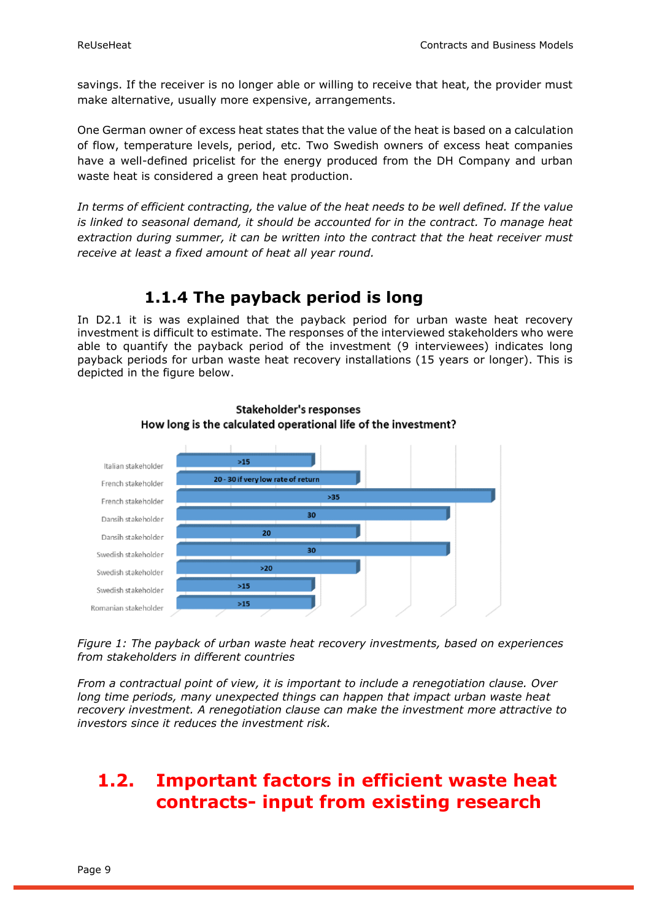savings. If the receiver is no longer able or willing to receive that heat, the provider must make alternative, usually more expensive, arrangements.

One German owner of excess heat states that the value of the heat is based on a calculation of flow, temperature levels, period, etc. Two Swedish owners of excess heat companies have a well-defined pricelist for the energy produced from the DH Company and urban waste heat is considered a green heat production.

*In terms of efficient contracting, the value of the heat needs to be well defined. If the value is linked to seasonal demand, it should be accounted for in the contract. To manage heat extraction during summer, it can be written into the contract that the heat receiver must receive at least a fixed amount of heat all year round.*

### **1.1.4 The payback period is long**

<span id="page-8-0"></span>In D2.1 it is was explained that the payback period for urban waste heat recovery investment is difficult to estimate. The responses of the interviewed stakeholders who were able to quantify the payback period of the investment (9 interviewees) indicates long payback periods for urban waste heat recovery installations (15 years or longer). This is depicted in the figure below.





*Figure 1: The payback of urban waste heat recovery investments, based on experiences from stakeholders in different countries*

*From a contractual point of view, it is important to include a renegotiation clause. Over long time periods, many unexpected things can happen that impact urban waste heat recovery investment. A renegotiation clause can make the investment more attractive to investors since it reduces the investment risk.*

### <span id="page-8-1"></span>**1.2. Important factors in efficient waste heat contracts- input from existing research**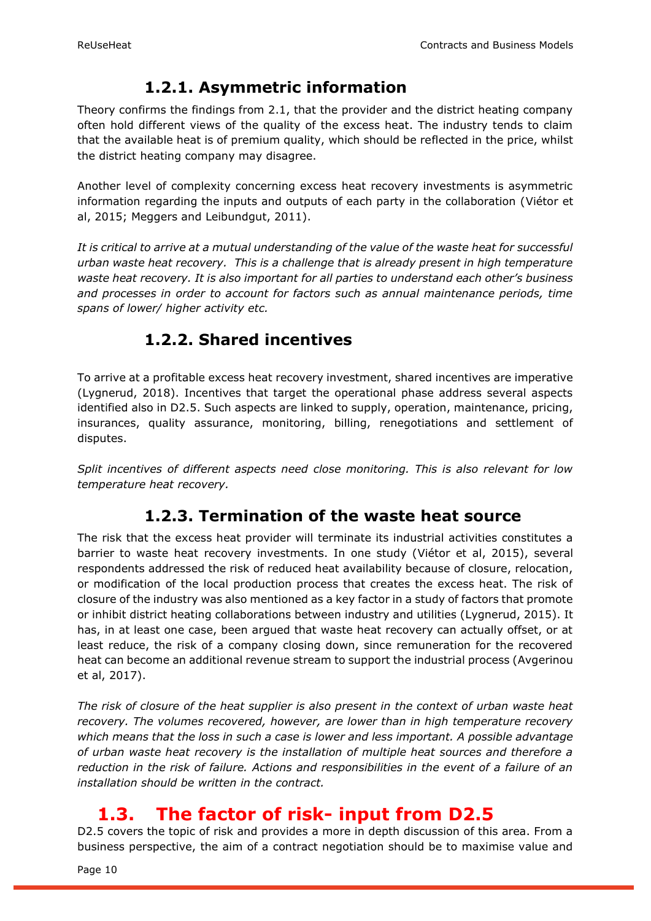### **1.2.1. Asymmetric information**

<span id="page-9-0"></span>Theory confirms the findings from 2.1, that the provider and the district heating company often hold different views of the quality of the excess heat. The industry tends to claim that the available heat is of premium quality, which should be reflected in the price, whilst the district heating company may disagree.

Another level of complexity concerning excess heat recovery investments is asymmetric information regarding the inputs and outputs of each party in the collaboration (Viétor et al, 2015; Meggers and Leibundgut, 2011).

*It is critical to arrive at a mutual understanding of the value of the waste heat for successful urban waste heat recovery. This is a challenge that is already present in high temperature waste heat recovery. It is also important for all parties to understand each other's business and processes in order to account for factors such as annual maintenance periods, time spans of lower/ higher activity etc.* 

### **1.2.2. Shared incentives**

<span id="page-9-1"></span>To arrive at a profitable excess heat recovery investment, shared incentives are imperative (Lygnerud, 2018). Incentives that target the operational phase address several aspects identified also in D2.5. Such aspects are linked to supply, operation, maintenance, pricing, insurances, quality assurance, monitoring, billing, renegotiations and settlement of disputes.

<span id="page-9-2"></span>*Split incentives of different aspects need close monitoring. This is also relevant for low temperature heat recovery.*

### **1.2.3. Termination of the waste heat source**

The risk that the excess heat provider will terminate its industrial activities constitutes a barrier to waste heat recovery investments. In one study (Viétor et al, 2015), several respondents addressed the risk of reduced heat availability because of closure, relocation, or modification of the local production process that creates the excess heat. The risk of closure of the industry was also mentioned as a key factor in a study of factors that promote or inhibit district heating collaborations between industry and utilities (Lygnerud, 2015). It has, in at least one case, been argued that waste heat recovery can actually offset, or at least reduce, the risk of a company closing down, since remuneration for the recovered heat can become an additional revenue stream to support the industrial process (Avgerinou et al, 2017).

*The risk of closure of the heat supplier is also present in the context of urban waste heat recovery. The volumes recovered, however, are lower than in high temperature recovery which means that the loss in such a case is lower and less important. A possible advantage of urban waste heat recovery is the installation of multiple heat sources and therefore a reduction in the risk of failure. Actions and responsibilities in the event of a failure of an installation should be written in the contract.*

## <span id="page-9-3"></span>**1.3. The factor of risk- input from D2.5**

D2.5 covers the topic of risk and provides a more in depth discussion of this area. From a business perspective, the aim of a contract negotiation should be to maximise value and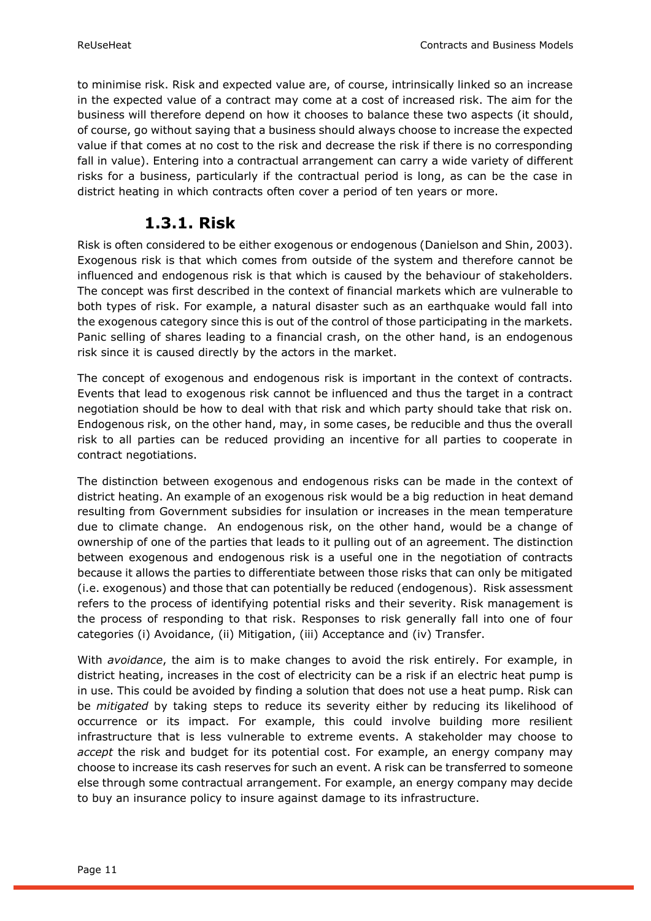to minimise risk. Risk and expected value are, of course, intrinsically linked so an increase in the expected value of a contract may come at a cost of increased risk. The aim for the business will therefore depend on how it chooses to balance these two aspects (it should, of course, go without saying that a business should always choose to increase the expected value if that comes at no cost to the risk and decrease the risk if there is no corresponding fall in value). Entering into a contractual arrangement can carry a wide variety of different risks for a business, particularly if the contractual period is long, as can be the case in district heating in which contracts often cover a period of ten years or more.

### **1.3.1. Risk**

<span id="page-10-0"></span>Risk is often considered to be either exogenous or endogenous (Danielson and Shin, 2003). Exogenous risk is that which comes from outside of the system and therefore cannot be influenced and endogenous risk is that which is caused by the behaviour of stakeholders. The concept was first described in the context of financial markets which are vulnerable to both types of risk. For example, a natural disaster such as an earthquake would fall into the exogenous category since this is out of the control of those participating in the markets. Panic selling of shares leading to a financial crash, on the other hand, is an endogenous risk since it is caused directly by the actors in the market.

The concept of exogenous and endogenous risk is important in the context of contracts. Events that lead to exogenous risk cannot be influenced and thus the target in a contract negotiation should be how to deal with that risk and which party should take that risk on. Endogenous risk, on the other hand, may, in some cases, be reducible and thus the overall risk to all parties can be reduced providing an incentive for all parties to cooperate in contract negotiations.

The distinction between exogenous and endogenous risks can be made in the context of district heating. An example of an exogenous risk would be a big reduction in heat demand resulting from Government subsidies for insulation or increases in the mean temperature due to climate change. An endogenous risk, on the other hand, would be a change of ownership of one of the parties that leads to it pulling out of an agreement. The distinction between exogenous and endogenous risk is a useful one in the negotiation of contracts because it allows the parties to differentiate between those risks that can only be mitigated (i.e. exogenous) and those that can potentially be reduced (endogenous). Risk assessment refers to the process of identifying potential risks and their severity. Risk management is the process of responding to that risk. Responses to risk generally fall into one of four categories (i) Avoidance, (ii) Mitigation, (iii) Acceptance and (iv) Transfer.

With *avoidance*, the aim is to make changes to avoid the risk entirely. For example, in district heating, increases in the cost of electricity can be a risk if an electric heat pump is in use. This could be avoided by finding a solution that does not use a heat pump. Risk can be *mitigated* by taking steps to reduce its severity either by reducing its likelihood of occurrence or its impact. For example, this could involve building more resilient infrastructure that is less vulnerable to extreme events. A stakeholder may choose to *accept* the risk and budget for its potential cost. For example, an energy company may choose to increase its cash reserves for such an event. A risk can be transferred to someone else through some contractual arrangement. For example, an energy company may decide to buy an insurance policy to insure against damage to its infrastructure.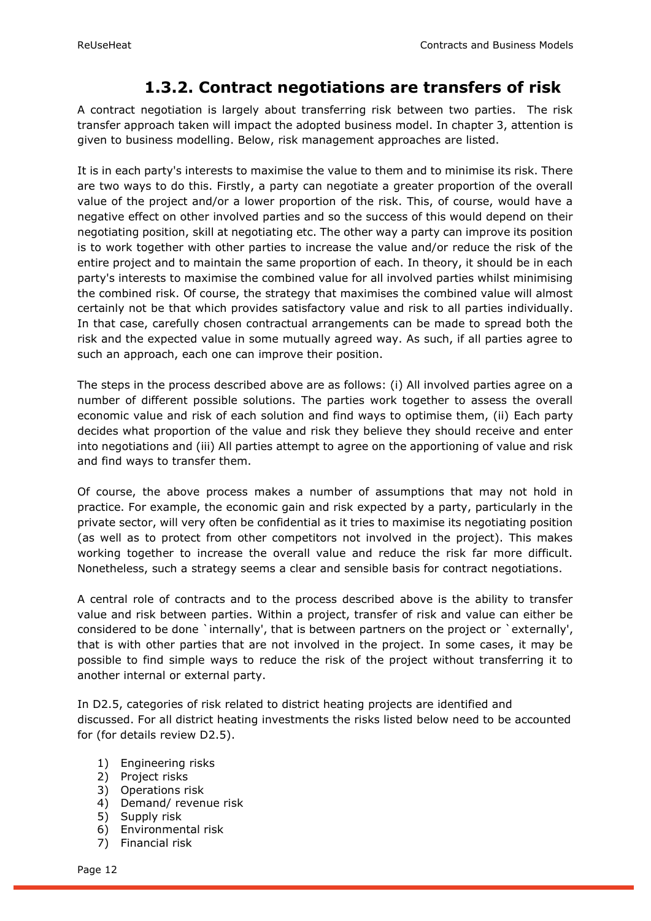### **1.3.2. Contract negotiations are transfers of risk**

<span id="page-11-0"></span>A contract negotiation is largely about transferring risk between two parties. The risk transfer approach taken will impact the adopted business model. In chapter 3, attention is given to business modelling. Below, risk management approaches are listed.

It is in each party's interests to maximise the value to them and to minimise its risk. There are two ways to do this. Firstly, a party can negotiate a greater proportion of the overall value of the project and/or a lower proportion of the risk. This, of course, would have a negative effect on other involved parties and so the success of this would depend on their negotiating position, skill at negotiating etc. The other way a party can improve its position is to work together with other parties to increase the value and/or reduce the risk of the entire project and to maintain the same proportion of each. In theory, it should be in each party's interests to maximise the combined value for all involved parties whilst minimising the combined risk. Of course, the strategy that maximises the combined value will almost certainly not be that which provides satisfactory value and risk to all parties individually. In that case, carefully chosen contractual arrangements can be made to spread both the risk and the expected value in some mutually agreed way. As such, if all parties agree to such an approach, each one can improve their position.

The steps in the process described above are as follows: (i) All involved parties agree on a number of different possible solutions. The parties work together to assess the overall economic value and risk of each solution and find ways to optimise them, (ii) Each party decides what proportion of the value and risk they believe they should receive and enter into negotiations and (iii) All parties attempt to agree on the apportioning of value and risk and find ways to transfer them.

Of course, the above process makes a number of assumptions that may not hold in practice. For example, the economic gain and risk expected by a party, particularly in the private sector, will very often be confidential as it tries to maximise its negotiating position (as well as to protect from other competitors not involved in the project). This makes working together to increase the overall value and reduce the risk far more difficult. Nonetheless, such a strategy seems a clear and sensible basis for contract negotiations.

A central role of contracts and to the process described above is the ability to transfer value and risk between parties. Within a project, transfer of risk and value can either be considered to be done `internally', that is between partners on the project or `externally', that is with other parties that are not involved in the project. In some cases, it may be possible to find simple ways to reduce the risk of the project without transferring it to another internal or external party.

In D2.5, categories of risk related to district heating projects are identified and discussed. For all district heating investments the risks listed below need to be accounted for (for details review D2.5).

- 1) Engineering risks
- 2) Project risks
- 3) Operations risk
- 4) Demand/ revenue risk
- 5) Supply risk
- 6) Environmental risk
- 7) Financial risk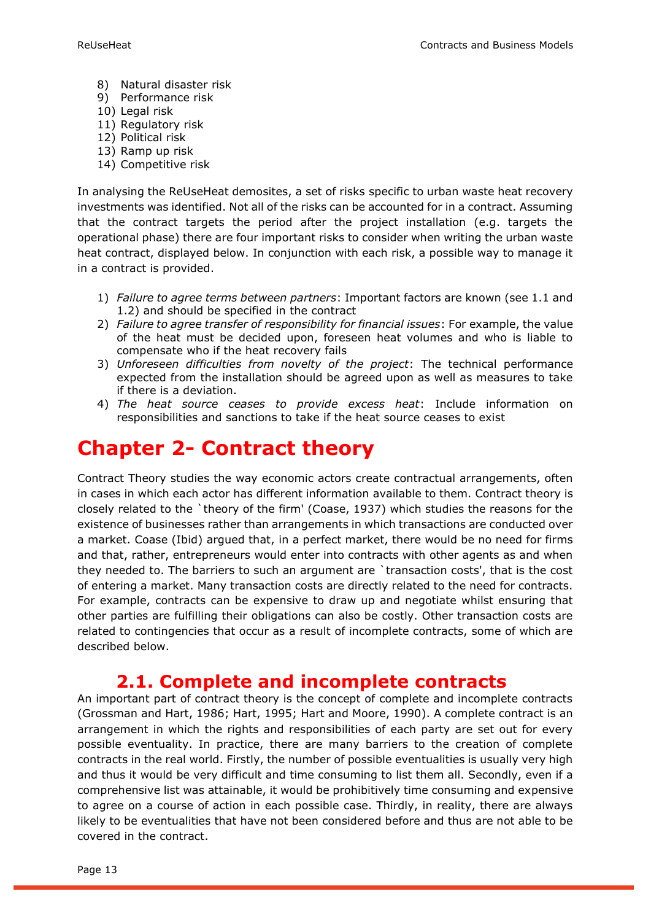- 8) Natural disaster risk
- 9) Performance risk
- 10) Legal risk
- 11) Regulatory risk
- 12) Political risk
- 13) Ramp up risk
- 14) Competitive risk

In analysing the ReUseHeat demosites, a set of risks specific to urban waste heat recovery investments was identified. Not all of the risks can be accounted for in a contract. Assuming that the contract targets the period after the project installation (e.g. targets the operational phase) there are four important risks to consider when writing the urban waste heat contract, displayed below. In conjunction with each risk, a possible way to manage it in a contract is provided.

- 1) *Failure to agree terms between partners*: Important factors are known (see 1.1 and 1.2) and should be specified in the contract
- 2) *Failure to agree transfer of responsibility for financial issues*: For example, the value of the heat must be decided upon, foreseen heat volumes and who is liable to compensate who if the heat recovery fails
- 3) *Unforeseen difficulties from novelty of the project*: The technical performance expected from the installation should be agreed upon as well as measures to take if there is a deviation.
- 4) *The heat source ceases to provide excess heat*: Include information on responsibilities and sanctions to take if the heat source ceases to exist

## <span id="page-12-0"></span>**Chapter 2- Contract theory**

Contract Theory studies the way economic actors create contractual arrangements, often in cases in which each actor has different information available to them. Contract theory is closely related to the `theory of the firm' (Coase, 1937) which studies the reasons for the existence of businesses rather than arrangements in which transactions are conducted over a market. Coase (Ibid) argued that, in a perfect market, there would be no need for firms and that, rather, entrepreneurs would enter into contracts with other agents as and when they needed to. The barriers to such an argument are `transaction costs', that is the cost of entering a market. Many transaction costs are directly related to the need for contracts. For example, contracts can be expensive to draw up and negotiate whilst ensuring that other parties are fulfilling their obligations can also be costly. Other transaction costs are related to contingencies that occur as a result of incomplete contracts, some of which are described below.

### **2.1. Complete and incomplete contracts**

<span id="page-12-1"></span>An important part of contract theory is the concept of complete and incomplete contracts (Grossman and Hart, 1986; Hart, 1995; Hart and Moore, 1990). A complete contract is an arrangement in which the rights and responsibilities of each party are set out for every possible eventuality. In practice, there are many barriers to the creation of complete contracts in the real world. Firstly, the number of possible eventualities is usually very high and thus it would be very difficult and time consuming to list them all. Secondly, even if a comprehensive list was attainable, it would be prohibitively time consuming and expensive to agree on a course of action in each possible case. Thirdly, in reality, there are always likely to be eventualities that have not been considered before and thus are not able to be covered in the contract.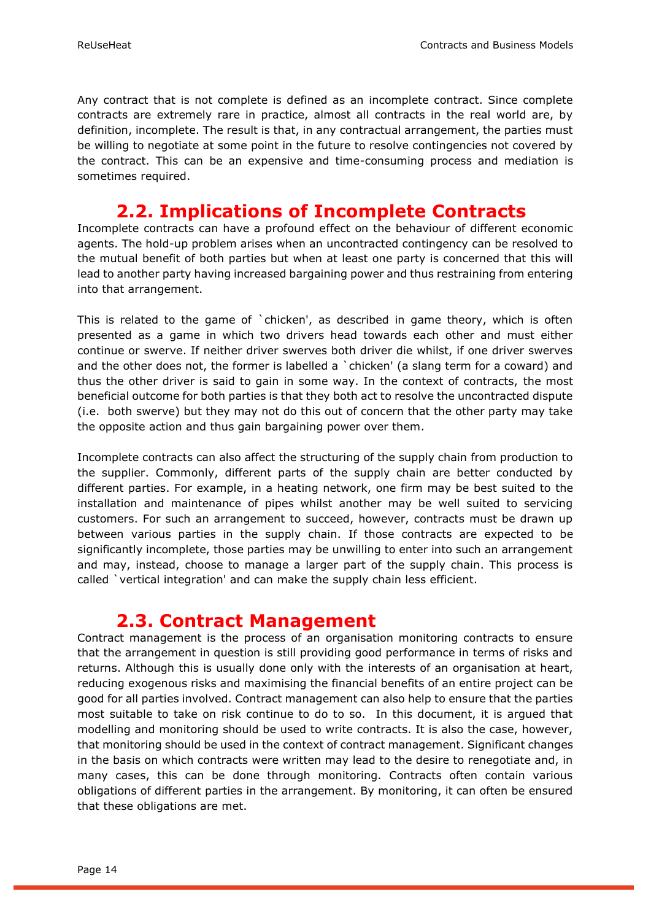Any contract that is not complete is defined as an incomplete contract. Since complete contracts are extremely rare in practice, almost all contracts in the real world are, by definition, incomplete. The result is that, in any contractual arrangement, the parties must be willing to negotiate at some point in the future to resolve contingencies not covered by the contract. This can be an expensive and time-consuming process and mediation is sometimes required.

### **2.2. Implications of Incomplete Contracts**

<span id="page-13-0"></span>Incomplete contracts can have a profound effect on the behaviour of different economic agents. The hold-up problem arises when an uncontracted contingency can be resolved to the mutual benefit of both parties but when at least one party is concerned that this will lead to another party having increased bargaining power and thus restraining from entering into that arrangement.

This is related to the game of `chicken', as described in game theory, which is often presented as a game in which two drivers head towards each other and must either continue or swerve. If neither driver swerves both driver die whilst, if one driver swerves and the other does not, the former is labelled a `chicken' (a slang term for a coward) and thus the other driver is said to gain in some way. In the context of contracts, the most beneficial outcome for both parties is that they both act to resolve the uncontracted dispute (i.e. both swerve) but they may not do this out of concern that the other party may take the opposite action and thus gain bargaining power over them.

Incomplete contracts can also affect the structuring of the supply chain from production to the supplier. Commonly, different parts of the supply chain are better conducted by different parties. For example, in a heating network, one firm may be best suited to the installation and maintenance of pipes whilst another may be well suited to servicing customers. For such an arrangement to succeed, however, contracts must be drawn up between various parties in the supply chain. If those contracts are expected to be significantly incomplete, those parties may be unwilling to enter into such an arrangement and may, instead, choose to manage a larger part of the supply chain. This process is called `vertical integration' and can make the supply chain less efficient.

### **2.3. Contract Management**

<span id="page-13-1"></span>Contract management is the process of an organisation monitoring contracts to ensure that the arrangement in question is still providing good performance in terms of risks and returns. Although this is usually done only with the interests of an organisation at heart, reducing exogenous risks and maximising the financial benefits of an entire project can be good for all parties involved. Contract management can also help to ensure that the parties most suitable to take on risk continue to do to so. In this document, it is argued that modelling and monitoring should be used to write contracts. It is also the case, however, that monitoring should be used in the context of contract management. Significant changes in the basis on which contracts were written may lead to the desire to renegotiate and, in many cases, this can be done through monitoring. Contracts often contain various obligations of different parties in the arrangement. By monitoring, it can often be ensured that these obligations are met.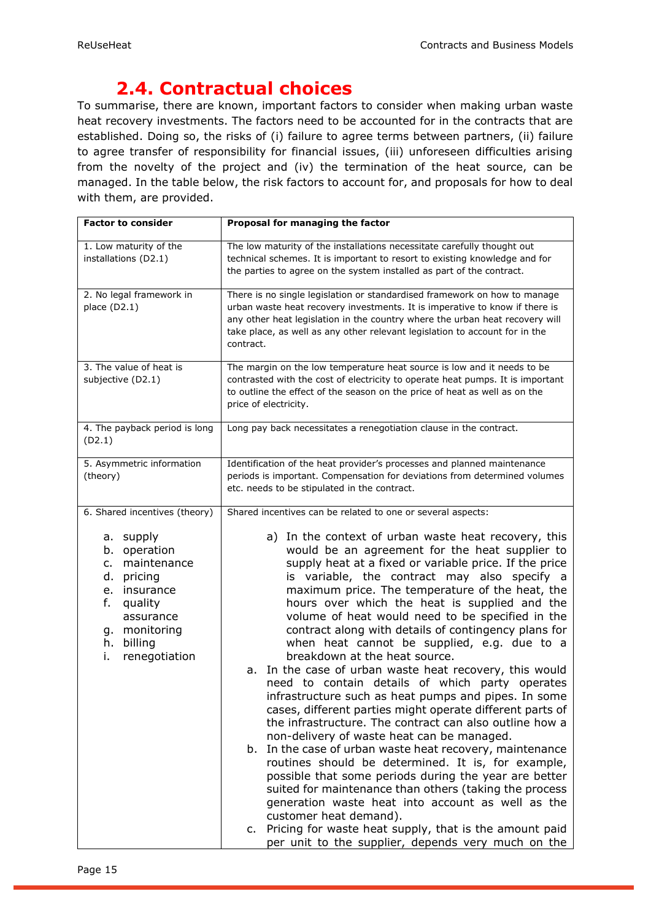## **2.4. Contractual choices**

<span id="page-14-0"></span>To summarise, there are known, important factors to consider when making urban waste heat recovery investments. The factors need to be accounted for in the contracts that are established. Doing so, the risks of (i) failure to agree terms between partners, (ii) failure to agree transfer of responsibility for financial issues, (iii) unforeseen difficulties arising from the novelty of the project and (iv) the termination of the heat source, can be managed. In the table below, the risk factors to account for, and proposals for how to deal with them, are provided.

| <b>Factor to consider</b>                                                                                                                                                                                     | Proposal for managing the factor                                                                                                                                                                                                                                                                                                                                                                                                                                                                                                                                                                                                                                                                                                                                                                                                                                                                                                                                                                                                                                                                                                                                                                                                                   |
|---------------------------------------------------------------------------------------------------------------------------------------------------------------------------------------------------------------|----------------------------------------------------------------------------------------------------------------------------------------------------------------------------------------------------------------------------------------------------------------------------------------------------------------------------------------------------------------------------------------------------------------------------------------------------------------------------------------------------------------------------------------------------------------------------------------------------------------------------------------------------------------------------------------------------------------------------------------------------------------------------------------------------------------------------------------------------------------------------------------------------------------------------------------------------------------------------------------------------------------------------------------------------------------------------------------------------------------------------------------------------------------------------------------------------------------------------------------------------|
| 1. Low maturity of the<br>installations (D2.1)                                                                                                                                                                | The low maturity of the installations necessitate carefully thought out<br>technical schemes. It is important to resort to existing knowledge and for<br>the parties to agree on the system installed as part of the contract.                                                                                                                                                                                                                                                                                                                                                                                                                                                                                                                                                                                                                                                                                                                                                                                                                                                                                                                                                                                                                     |
| 2. No legal framework in<br>place $(D2.1)$                                                                                                                                                                    | There is no single legislation or standardised framework on how to manage<br>urban waste heat recovery investments. It is imperative to know if there is<br>any other heat legislation in the country where the urban heat recovery will<br>take place, as well as any other relevant legislation to account for in the<br>contract.                                                                                                                                                                                                                                                                                                                                                                                                                                                                                                                                                                                                                                                                                                                                                                                                                                                                                                               |
| 3. The value of heat is<br>subjective (D2.1)                                                                                                                                                                  | The margin on the low temperature heat source is low and it needs to be<br>contrasted with the cost of electricity to operate heat pumps. It is important<br>to outline the effect of the season on the price of heat as well as on the<br>price of electricity.                                                                                                                                                                                                                                                                                                                                                                                                                                                                                                                                                                                                                                                                                                                                                                                                                                                                                                                                                                                   |
| 4. The payback period is long<br>(D2.1)                                                                                                                                                                       | Long pay back necessitates a renegotiation clause in the contract.                                                                                                                                                                                                                                                                                                                                                                                                                                                                                                                                                                                                                                                                                                                                                                                                                                                                                                                                                                                                                                                                                                                                                                                 |
| 5. Asymmetric information<br>(theory)                                                                                                                                                                         | Identification of the heat provider's processes and planned maintenance<br>periods is important. Compensation for deviations from determined volumes<br>etc. needs to be stipulated in the contract.                                                                                                                                                                                                                                                                                                                                                                                                                                                                                                                                                                                                                                                                                                                                                                                                                                                                                                                                                                                                                                               |
| 6. Shared incentives (theory)<br>a. supply<br>operation<br>b.<br>maintenance<br>c.<br>d.<br>pricing<br>insurance<br>e.<br>f.<br>quality<br>assurance<br>g. monitoring<br>h.<br>billing<br>i.<br>renegotiation | Shared incentives can be related to one or several aspects:<br>a) In the context of urban waste heat recovery, this<br>would be an agreement for the heat supplier to<br>supply heat at a fixed or variable price. If the price<br>is variable, the contract may also specify a<br>maximum price. The temperature of the heat, the<br>hours over which the heat is supplied and the<br>volume of heat would need to be specified in the<br>contract along with details of contingency plans for<br>when heat cannot be supplied, e.g. due to a<br>breakdown at the heat source.<br>In the case of urban waste heat recovery, this would<br>а.<br>need to contain details of which party operates<br>infrastructure such as heat pumps and pipes. In some<br>cases, different parties might operate different parts of<br>the infrastructure. The contract can also outline how a<br>non-delivery of waste heat can be managed.<br>b. In the case of urban waste heat recovery, maintenance<br>routines should be determined. It is, for example,<br>possible that some periods during the year are better<br>suited for maintenance than others (taking the process<br>generation waste heat into account as well as the<br>customer heat demand). |
|                                                                                                                                                                                                               | c. Pricing for waste heat supply, that is the amount paid<br>per unit to the supplier, depends very much on the                                                                                                                                                                                                                                                                                                                                                                                                                                                                                                                                                                                                                                                                                                                                                                                                                                                                                                                                                                                                                                                                                                                                    |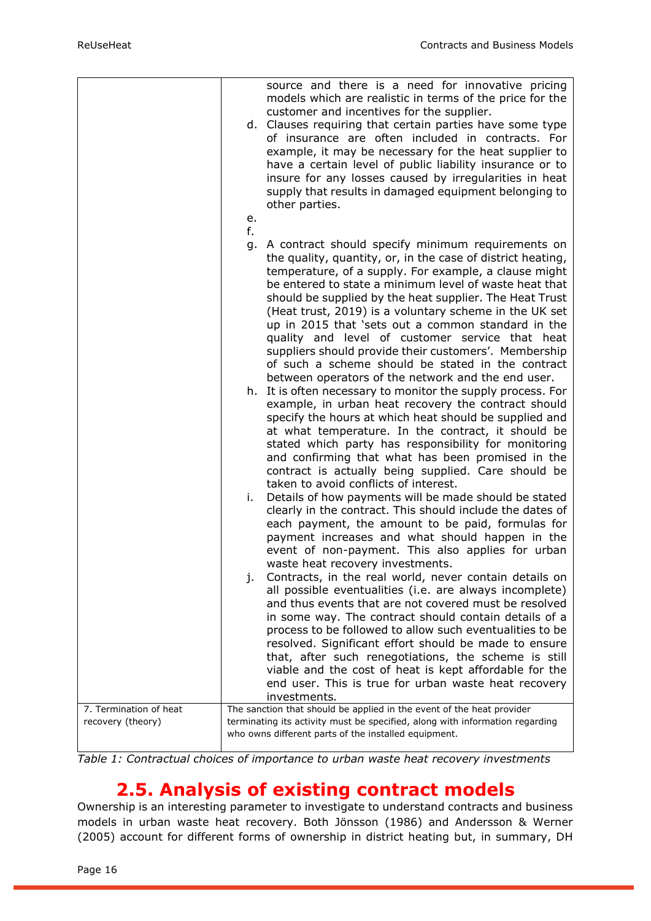|                                             | source and there is a need for innovative pricing<br>models which are realistic in terms of the price for the<br>customer and incentives for the supplier.<br>d. Clauses requiring that certain parties have some type<br>of insurance are often included in contracts. For<br>example, it may be necessary for the heat supplier to<br>have a certain level of public liability insurance or to<br>insure for any losses caused by irregularities in heat<br>supply that results in damaged equipment belonging to<br>other parties.<br>e.                                           |
|---------------------------------------------|---------------------------------------------------------------------------------------------------------------------------------------------------------------------------------------------------------------------------------------------------------------------------------------------------------------------------------------------------------------------------------------------------------------------------------------------------------------------------------------------------------------------------------------------------------------------------------------|
|                                             | f.                                                                                                                                                                                                                                                                                                                                                                                                                                                                                                                                                                                    |
|                                             |                                                                                                                                                                                                                                                                                                                                                                                                                                                                                                                                                                                       |
|                                             | A contract should specify minimum requirements on<br>g.<br>the quality, quantity, or, in the case of district heating,<br>temperature, of a supply. For example, a clause might<br>be entered to state a minimum level of waste heat that<br>should be supplied by the heat supplier. The Heat Trust<br>(Heat trust, 2019) is a voluntary scheme in the UK set<br>up in 2015 that 'sets out a common standard in the<br>quality and level of customer service that heat<br>suppliers should provide their customers'. Membership<br>of such a scheme should be stated in the contract |
|                                             | between operators of the network and the end user.<br>h. It is often necessary to monitor the supply process. For<br>example, in urban heat recovery the contract should<br>specify the hours at which heat should be supplied and<br>at what temperature. In the contract, it should be<br>stated which party has responsibility for monitoring<br>and confirming that what has been promised in the<br>contract is actually being supplied. Care should be                                                                                                                          |
|                                             | taken to avoid conflicts of interest.<br>Details of how payments will be made should be stated<br>i.                                                                                                                                                                                                                                                                                                                                                                                                                                                                                  |
|                                             | clearly in the contract. This should include the dates of<br>each payment, the amount to be paid, formulas for<br>payment increases and what should happen in the<br>event of non-payment. This also applies for urban<br>waste heat recovery investments.                                                                                                                                                                                                                                                                                                                            |
|                                             | Contracts, in the real world, never contain details on<br>j.<br>all possible eventualities (i.e. are always incomplete)<br>and thus events that are not covered must be resolved<br>in some way. The contract should contain details of a<br>process to be followed to allow such eventualities to be<br>resolved. Significant effort should be made to ensure<br>that, after such renegotiations, the scheme is still<br>viable and the cost of heat is kept affordable for the<br>end user. This is true for urban waste heat recovery                                              |
|                                             | investments.                                                                                                                                                                                                                                                                                                                                                                                                                                                                                                                                                                          |
| 7. Termination of heat<br>recovery (theory) | The sanction that should be applied in the event of the heat provider<br>terminating its activity must be specified, along with information regarding<br>who owns different parts of the installed equipment.                                                                                                                                                                                                                                                                                                                                                                         |

*Table 1: Contractual choices of importance to urban waste heat recovery investments*

### **2.5. Analysis of existing contract models**

<span id="page-15-0"></span>Ownership is an interesting parameter to investigate to understand contracts and business models in urban waste heat recovery. Both Jönsson (1986) and Andersson & Werner (2005) account for different forms of ownership in district heating but, in summary, DH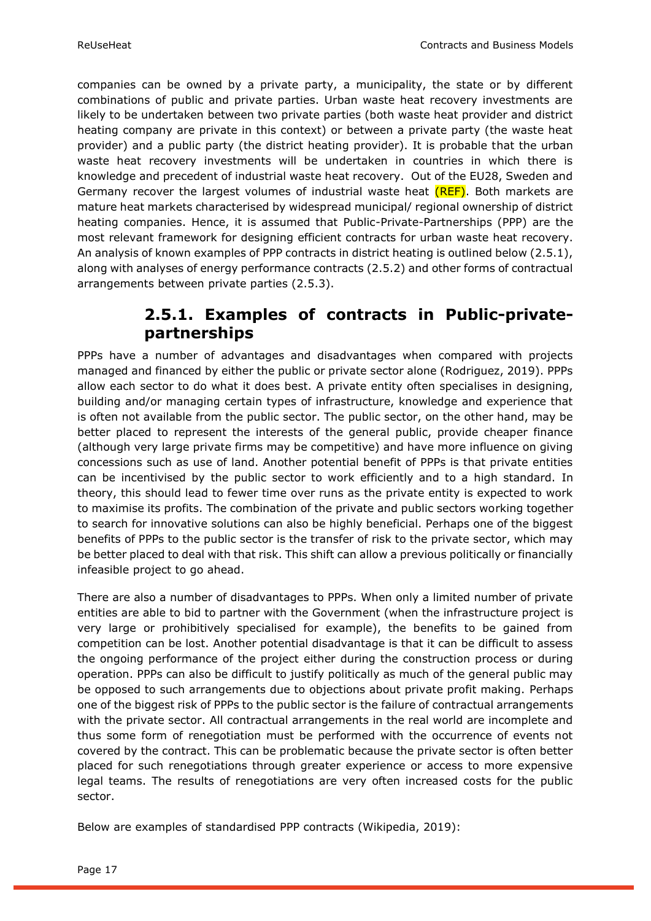companies can be owned by a private party, a municipality, the state or by different combinations of public and private parties. Urban waste heat recovery investments are likely to be undertaken between two private parties (both waste heat provider and district heating company are private in this context) or between a private party (the waste heat provider) and a public party (the district heating provider). It is probable that the urban waste heat recovery investments will be undertaken in countries in which there is knowledge and precedent of industrial waste heat recovery. Out of the EU28, Sweden and Germany recover the largest volumes of industrial waste heat (REF). Both markets are mature heat markets characterised by widespread municipal/ regional ownership of district heating companies. Hence, it is assumed that Public-Private-Partnerships (PPP) are the most relevant framework for designing efficient contracts for urban waste heat recovery. An analysis of known examples of PPP contracts in district heating is outlined below (2.5.1), along with analyses of energy performance contracts (2.5.2) and other forms of contractual arrangements between private parties (2.5.3).

### **2.5.1. Examples of contracts in Public-privatepartnerships**

<span id="page-16-0"></span>PPPs have a number of advantages and disadvantages when compared with projects managed and financed by either the public or private sector alone (Rodriguez, 2019). PPPs allow each sector to do what it does best. A private entity often specialises in designing, building and/or managing certain types of infrastructure, knowledge and experience that is often not available from the public sector. The public sector, on the other hand, may be better placed to represent the interests of the general public, provide cheaper finance (although very large private firms may be competitive) and have more influence on giving concessions such as use of land. Another potential benefit of PPPs is that private entities can be incentivised by the public sector to work efficiently and to a high standard. In theory, this should lead to fewer time over runs as the private entity is expected to work to maximise its profits. The combination of the private and public sectors working together to search for innovative solutions can also be highly beneficial. Perhaps one of the biggest benefits of PPPs to the public sector is the transfer of risk to the private sector, which may be better placed to deal with that risk. This shift can allow a previous politically or financially infeasible project to go ahead.

There are also a number of disadvantages to PPPs. When only a limited number of private entities are able to bid to partner with the Government (when the infrastructure project is very large or prohibitively specialised for example), the benefits to be gained from competition can be lost. Another potential disadvantage is that it can be difficult to assess the ongoing performance of the project either during the construction process or during operation. PPPs can also be difficult to justify politically as much of the general public may be opposed to such arrangements due to objections about private profit making. Perhaps one of the biggest risk of PPPs to the public sector is the failure of contractual arrangements with the private sector. All contractual arrangements in the real world are incomplete and thus some form of renegotiation must be performed with the occurrence of events not covered by the contract. This can be problematic because the private sector is often better placed for such renegotiations through greater experience or access to more expensive legal teams. The results of renegotiations are very often increased costs for the public sector.

Below are examples of standardised PPP contracts (Wikipedia, 2019):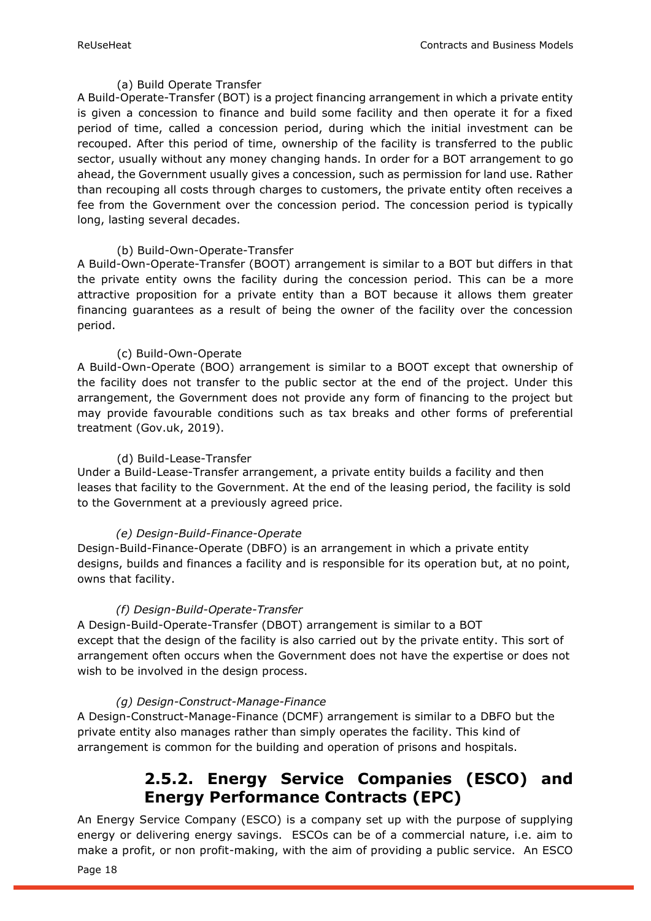#### (a) Build Operate Transfer

A Build-Operate-Transfer (BOT) is a project financing arrangement in which a private entity is given a concession to finance and build some facility and then operate it for a fixed period of time, called a concession period, during which the initial investment can be recouped. After this period of time, ownership of the facility is transferred to the public sector, usually without any money changing hands. In order for a BOT arrangement to go ahead, the Government usually gives a concession, such as permission for land use. Rather than recouping all costs through charges to customers, the private entity often receives a fee from the Government over the concession period. The concession period is typically long, lasting several decades.

#### (b) Build-Own-Operate-Transfer

A Build-Own-Operate-Transfer (BOOT) arrangement is similar to a BOT but differs in that the private entity owns the facility during the concession period. This can be a more attractive proposition for a private entity than a BOT because it allows them greater financing guarantees as a result of being the owner of the facility over the concession period.

#### (c) Build-Own-Operate

A Build-Own-Operate (BOO) arrangement is similar to a BOOT except that ownership of the facility does not transfer to the public sector at the end of the project. Under this arrangement, the Government does not provide any form of financing to the project but may provide favourable conditions such as tax breaks and other forms of preferential treatment (Gov.uk, 2019).

#### (d) Build-Lease-Transfer

Under a Build-Lease-Transfer arrangement, a private entity builds a facility and then leases that facility to the Government. At the end of the leasing period, the facility is sold to the Government at a previously agreed price.

#### *(e) Design-Build-Finance-Operate*

Design-Build-Finance-Operate (DBFO) is an arrangement in which a private entity designs, builds and finances a facility and is responsible for its operation but, at no point, owns that facility.

#### *(f) Design-Build-Operate-Transfer*

A Design-Build-Operate-Transfer (DBOT) arrangement is similar to a BOT except that the design of the facility is also carried out by the private entity. This sort of arrangement often occurs when the Government does not have the expertise or does not wish to be involved in the design process.

#### *(g) Design-Construct-Manage-Finance*

<span id="page-17-0"></span>A Design-Construct-Manage-Finance (DCMF) arrangement is similar to a DBFO but the private entity also manages rather than simply operates the facility. This kind of arrangement is common for the building and operation of prisons and hospitals.

### **2.5.2. Energy Service Companies (ESCO) and Energy Performance Contracts (EPC)**

An Energy Service Company (ESCO) is a company set up with the purpose of supplying energy or delivering energy savings. ESCOs can be of a commercial nature, i.e. aim to make a profit, or non profit-making, with the aim of providing a public service. An ESCO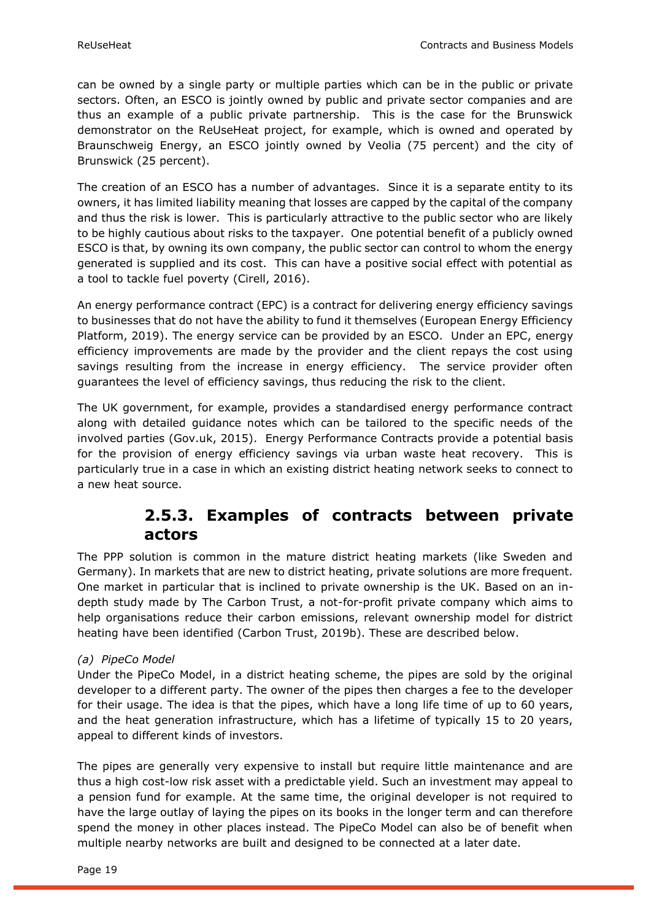can be owned by a single party or multiple parties which can be in the public or private sectors. Often, an ESCO is jointly owned by public and private sector companies and are thus an example of a public private partnership. This is the case for the Brunswick demonstrator on the ReUseHeat project, for example, which is owned and operated by Braunschweig Energy, an ESCO jointly owned by Veolia (75 percent) and the city of Brunswick (25 percent).

The creation of an ESCO has a number of advantages. Since it is a separate entity to its owners, it has limited liability meaning that losses are capped by the capital of the company and thus the risk is lower. This is particularly attractive to the public sector who are likely to be highly cautious about risks to the taxpayer. One potential benefit of a publicly owned ESCO is that, by owning its own company, the public sector can control to whom the energy generated is supplied and its cost. This can have a positive social effect with potential as a tool to tackle fuel poverty (Cirell, 2016).

An energy performance contract (EPC) is a contract for delivering energy efficiency savings to businesses that do not have the ability to fund it themselves (European Energy Efficiency Platform, 2019). The energy service can be provided by an ESCO. Under an EPC, energy efficiency improvements are made by the provider and the client repays the cost using savings resulting from the increase in energy efficiency. The service provider often guarantees the level of efficiency savings, thus reducing the risk to the client.

The UK government, for example, provides a standardised energy performance contract along with detailed guidance notes which can be tailored to the specific needs of the involved parties (Gov.uk, 2015). Energy Performance Contracts provide a potential basis for the provision of energy efficiency savings via urban waste heat recovery. This is particularly true in a case in which an existing district heating network seeks to connect to a new heat source.

### **2.5.3. Examples of contracts between private actors**

<span id="page-18-0"></span>The PPP solution is common in the mature district heating markets (like Sweden and Germany). In markets that are new to district heating, private solutions are more frequent. One market in particular that is inclined to private ownership is the UK. Based on an indepth study made by The Carbon Trust, a not-for-profit private company which aims to help organisations reduce their carbon emissions, relevant ownership model for district heating have been identified (Carbon Trust, 2019b). These are described below.

#### *(a) PipeCo Model*

Under the PipeCo Model, in a district heating scheme, the pipes are sold by the original developer to a different party. The owner of the pipes then charges a fee to the developer for their usage. The idea is that the pipes, which have a long life time of up to 60 years, and the heat generation infrastructure, which has a lifetime of typically 15 to 20 years, appeal to different kinds of investors.

The pipes are generally very expensive to install but require little maintenance and are thus a high cost-low risk asset with a predictable yield. Such an investment may appeal to a pension fund for example. At the same time, the original developer is not required to have the large outlay of laying the pipes on its books in the longer term and can therefore spend the money in other places instead. The PipeCo Model can also be of benefit when multiple nearby networks are built and designed to be connected at a later date.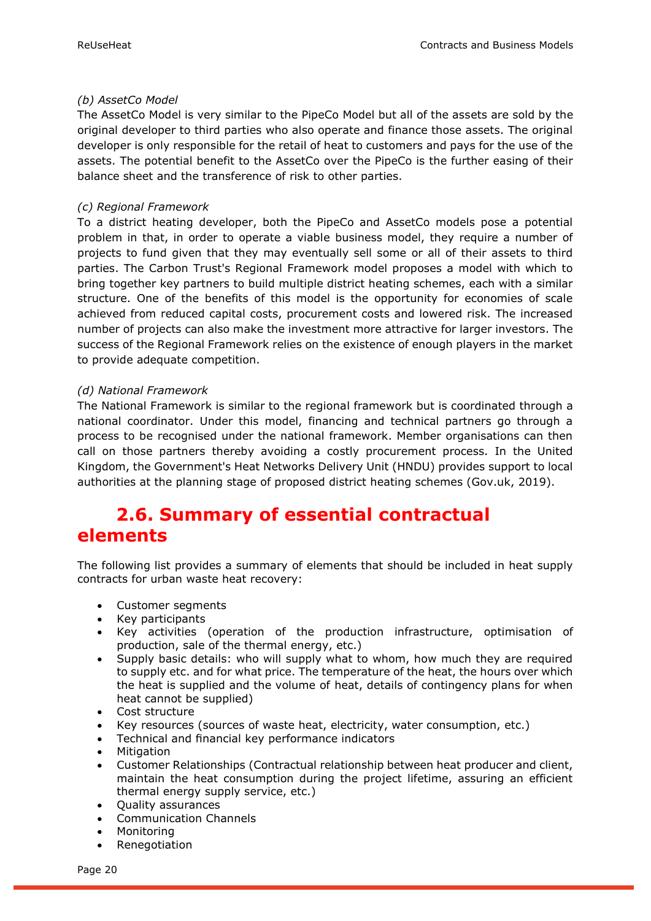#### *(b) AssetCo Model*

The AssetCo Model is very similar to the PipeCo Model but all of the assets are sold by the original developer to third parties who also operate and finance those assets. The original developer is only responsible for the retail of heat to customers and pays for the use of the assets. The potential benefit to the AssetCo over the PipeCo is the further easing of their balance sheet and the transference of risk to other parties.

#### *(c) Regional Framework*

To a district heating developer, both the PipeCo and AssetCo models pose a potential problem in that, in order to operate a viable business model, they require a number of projects to fund given that they may eventually sell some or all of their assets to third parties. The Carbon Trust's Regional Framework model proposes a model with which to bring together key partners to build multiple district heating schemes, each with a similar structure. One of the benefits of this model is the opportunity for economies of scale achieved from reduced capital costs, procurement costs and lowered risk. The increased number of projects can also make the investment more attractive for larger investors. The success of the Regional Framework relies on the existence of enough players in the market to provide adequate competition.

#### *(d) National Framework*

The National Framework is similar to the regional framework but is coordinated through a national coordinator. Under this model, financing and technical partners go through a process to be recognised under the national framework. Member organisations can then call on those partners thereby avoiding a costly procurement process. In the United Kingdom, the Government's Heat Networks Delivery Unit (HNDU) provides support to local authorities at the planning stage of proposed district heating schemes (Gov.uk, 2019).

### <span id="page-19-0"></span>**2.6. Summary of essential contractual elements**

The following list provides a summary of elements that should be included in heat supply contracts for urban waste heat recovery:

- Customer segments
- Key participants
- Key activities (operation of the production infrastructure, optimisation of production, sale of the thermal energy, etc.)
- Supply basic details: who will supply what to whom, how much they are required to supply etc. and for what price. The temperature of the heat, the hours over which the heat is supplied and the volume of heat, details of contingency plans for when heat cannot be supplied)
- Cost structure
- Key resources (sources of waste heat, electricity, water consumption, etc.)
- Technical and financial key performance indicators
- Mitigation
- Customer Relationships (Contractual relationship between heat producer and client, maintain the heat consumption during the project lifetime, assuring an efficient thermal energy supply service, etc.)
- Quality assurances
- Communication Channels
- **Monitoring**
- Renegotiation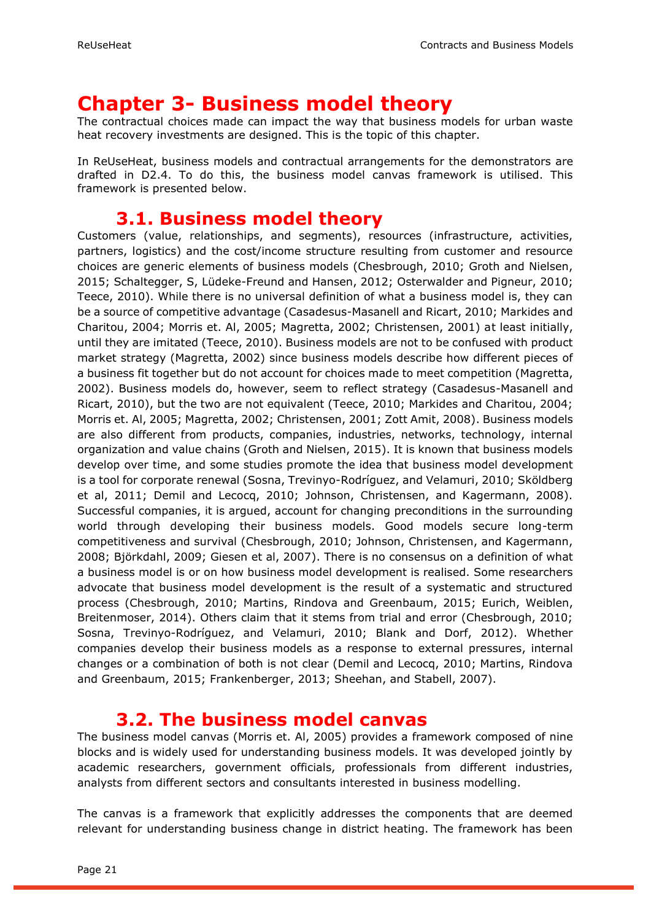## <span id="page-20-0"></span>**Chapter 3- Business model theory**

The contractual choices made can impact the way that business models for urban waste heat recovery investments are designed. This is the topic of this chapter.

In ReUseHeat, business models and contractual arrangements for the demonstrators are drafted in D2.4. To do this, the business model canvas framework is utilised. This framework is presented below.

### **3.1. Business model theory**

<span id="page-20-1"></span>Customers (value, relationships, and segments), resources (infrastructure, activities, partners, logistics) and the cost/income structure resulting from customer and resource choices are generic elements of business models (Chesbrough, 2010; Groth and Nielsen, 2015; Schaltegger, S, Lüdeke-Freund and Hansen, 2012; Osterwalder and Pigneur, 2010; Teece, 2010). While there is no universal definition of what a business model is, they can be a source of competitive advantage (Casadesus-Masanell and Ricart, 2010; Markides and Charitou, 2004; Morris et. Al, 2005; Magretta, 2002; Christensen, 2001) at least initially, until they are imitated (Teece, 2010). Business models are not to be confused with product market strategy (Magretta, 2002) since business models describe how different pieces of a business fit together but do not account for choices made to meet competition (Magretta, 2002). Business models do, however, seem to reflect strategy (Casadesus-Masanell and Ricart, 2010), but the two are not equivalent (Teece, 2010; Markides and Charitou, 2004; Morris et. Al, 2005; Magretta, 2002; Christensen, 2001; Zott Amit, 2008). Business models are also different from products, companies, industries, networks, technology, internal organization and value chains (Groth and Nielsen, 2015). It is known that business models develop over time, and some studies promote the idea that business model development is a tool for corporate renewal (Sosna, Trevinyo-Rodríguez, and Velamuri, 2010; Sköldberg et al, 2011; Demil and Lecocq, 2010; Johnson, Christensen, and Kagermann, 2008). Successful companies, it is argued, account for changing preconditions in the surrounding world through developing their business models. Good models secure long-term competitiveness and survival (Chesbrough, 2010; Johnson, Christensen, and Kagermann, 2008; Björkdahl, 2009; Giesen et al, 2007). There is no consensus on a definition of what a business model is or on how business model development is realised. Some researchers advocate that business model development is the result of a systematic and structured process (Chesbrough, 2010; Martins, Rindova and Greenbaum, 2015; Eurich, Weiblen, Breitenmoser, 2014). Others claim that it stems from trial and error (Chesbrough, 2010; Sosna, Trevinyo-Rodríguez, and Velamuri, 2010; Blank and Dorf, 2012). Whether companies develop their business models as a response to external pressures, internal changes or a combination of both is not clear (Demil and Lecocq, 2010; Martins, Rindova and Greenbaum, 2015; Frankenberger, 2013; Sheehan, and Stabell, 2007).

### **3.2. The business model canvas**

<span id="page-20-2"></span>The business model canvas (Morris et. Al, 2005) provides a framework composed of nine blocks and is widely used for understanding business models. It was developed jointly by academic researchers, government officials, professionals from different industries, analysts from different sectors and consultants interested in business modelling.

The canvas is a framework that explicitly addresses the components that are deemed relevant for understanding business change in district heating. The framework has been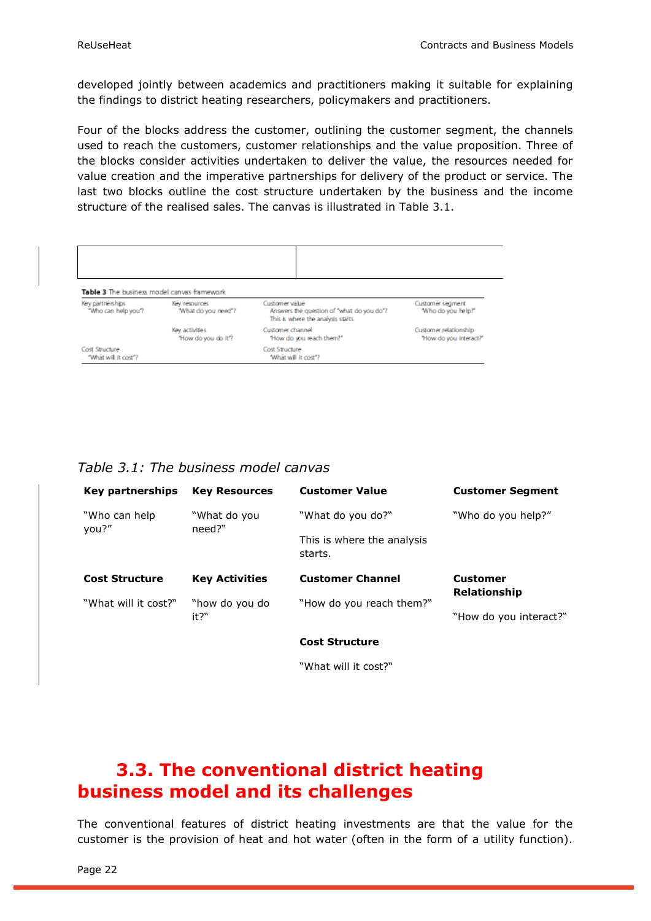developed jointly between academics and practitioners making it suitable for explaining the findings to district heating researchers, policymakers and practitioners.

Four of the blocks address the customer, outlining the customer segment, the channels used to reach the customers, customer relationships and the value proposition. Three of the blocks consider activities undertaken to deliver the value, the resources needed for value creation and the imperative partnerships for delivery of the product or service. The last two blocks outline the cost structure undertaken by the business and the income structure of the realised sales. The canvas is illustrated in Table 3.1.

<span id="page-21-0"></span>

| Table 3 The business model canvas framework<br>Key partnerships<br>"Who can help you? | Key resources<br>"What do you need"? | Customer value<br>Answers the question of "what do you do"?<br>This is where the analysis starts | Customer segment<br>"Who do you help?"          |
|---------------------------------------------------------------------------------------|--------------------------------------|--------------------------------------------------------------------------------------------------|-------------------------------------------------|
|                                                                                       | Key activities<br>"How do you do it? | Customer channel<br>"How do you reach them?"                                                     | Customer relationship<br>"How do you interact?" |
| Cost Structure<br>"What will it cost"?                                                |                                      | Cost Structure<br>"What will it cost"?                                                           |                                                 |

*Table 3.1: The business model canvas*

| <b>Key partnerships</b> | <b>Key Resources</b>   | <b>Customer Value</b>                 | <b>Customer Segment</b> |
|-------------------------|------------------------|---------------------------------------|-------------------------|
| "Who can help"<br>you?" | "What do you<br>need?" | "What do you do?"                     | "Who do you help?"      |
|                         |                        | This is where the analysis<br>starts. |                         |
|                         |                        |                                       |                         |
| <b>Cost Structure</b>   | <b>Key Activities</b>  | <b>Customer Channel</b>               | <b>Customer</b>         |
| "What will it cost?"    | "how do you do         | "How do you reach them?"              | Relationship            |

**Cost Structure**

"What will it cost?"

### <span id="page-21-1"></span>**3.3. The conventional district heating business model and its challenges**

The conventional features of district heating investments are that the value for the customer is the provision of heat and hot water (often in the form of a utility function).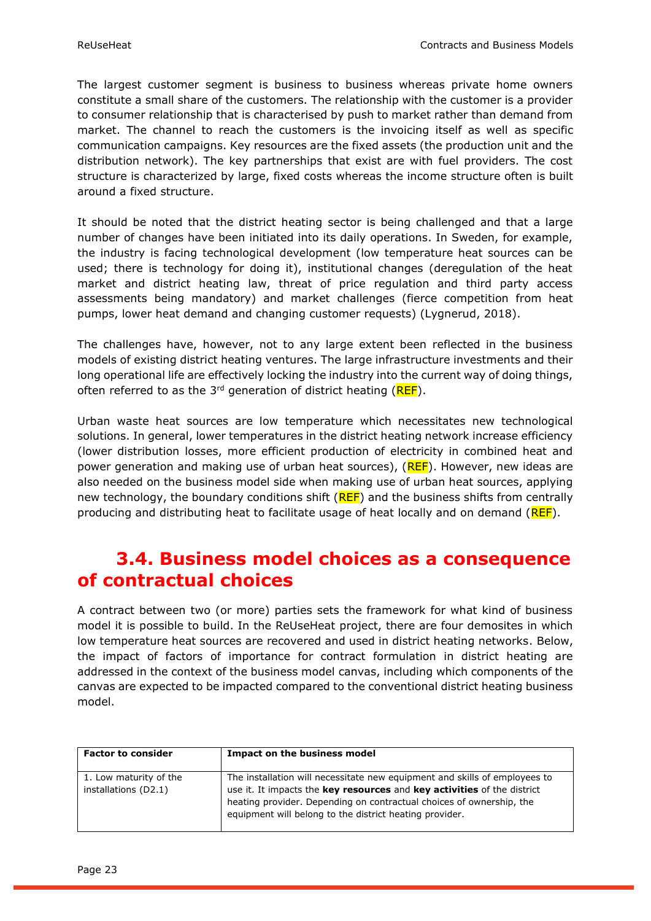The largest customer segment is business to business whereas private home owners constitute a small share of the customers. The relationship with the customer is a provider to consumer relationship that is characterised by push to market rather than demand from market. The channel to reach the customers is the invoicing itself as well as specific communication campaigns. Key resources are the fixed assets (the production unit and the distribution network). The key partnerships that exist are with fuel providers. The cost structure is characterized by large, fixed costs whereas the income structure often is built around a fixed structure.

It should be noted that the district heating sector is being challenged and that a large number of changes have been initiated into its daily operations. In Sweden, for example, the industry is facing technological development (low temperature heat sources can be used; there is technology for doing it), institutional changes (deregulation of the heat market and district heating law, threat of price regulation and third party access assessments being mandatory) and market challenges (fierce competition from heat pumps, lower heat demand and changing customer requests) (Lygnerud, 2018).

The challenges have, however, not to any large extent been reflected in the business models of existing district heating ventures. The large infrastructure investments and their long operational life are effectively locking the industry into the current way of doing things, often referred to as the  $3^{rd}$  generation of district heating ( $REF$ ).

Urban waste heat sources are low temperature which necessitates new technological solutions. In general, lower temperatures in the district heating network increase efficiency (lower distribution losses, more efficient production of electricity in combined heat and power generation and making use of urban heat sources), (REF). However, new ideas are also needed on the business model side when making use of urban heat sources, applying new technology, the boundary conditions shift  $(REF)$  and the business shifts from centrally producing and distributing heat to facilitate usage of heat locally and on demand (REF).

### <span id="page-22-0"></span>**3.4. Business model choices as a consequence of contractual choices**

A contract between two (or more) parties sets the framework for what kind of business model it is possible to build. In the ReUseHeat project, there are four demosites in which low temperature heat sources are recovered and used in district heating networks. Below, the impact of factors of importance for contract formulation in district heating are addressed in the context of the business model canvas, including which components of the canvas are expected to be impacted compared to the conventional district heating business model.

| <b>Factor to consider</b>                      | Impact on the business model                                                                                                                                                                                                                                                             |
|------------------------------------------------|------------------------------------------------------------------------------------------------------------------------------------------------------------------------------------------------------------------------------------------------------------------------------------------|
| 1. Low maturity of the<br>installations (D2.1) | The installation will necessitate new equipment and skills of employees to<br>use it. It impacts the key resources and key activities of the district<br>heating provider. Depending on contractual choices of ownership, the<br>equipment will belong to the district heating provider. |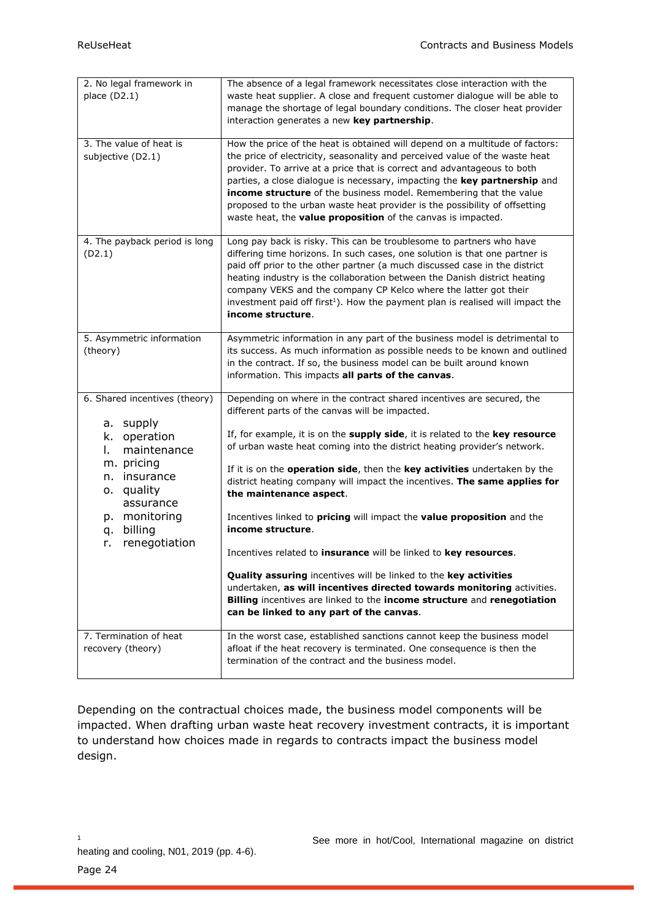| 2. No legal framework in<br>place (D2.1)                                                      | The absence of a legal framework necessitates close interaction with the<br>waste heat supplier. A close and frequent customer dialogue will be able to<br>manage the shortage of legal boundary conditions. The closer heat provider<br>interaction generates a new key partnership.                                                                                                                                                                                                                                                   |
|-----------------------------------------------------------------------------------------------|-----------------------------------------------------------------------------------------------------------------------------------------------------------------------------------------------------------------------------------------------------------------------------------------------------------------------------------------------------------------------------------------------------------------------------------------------------------------------------------------------------------------------------------------|
| 3. The value of heat is<br>subjective (D2.1)                                                  | How the price of the heat is obtained will depend on a multitude of factors:<br>the price of electricity, seasonality and perceived value of the waste heat<br>provider. To arrive at a price that is correct and advantageous to both<br>parties, a close dialogue is necessary, impacting the key partnership and<br>income structure of the business model. Remembering that the value<br>proposed to the urban waste heat provider is the possibility of offsetting<br>waste heat, the value proposition of the canvas is impacted. |
| 4. The payback period is long<br>(D2.1)                                                       | Long pay back is risky. This can be troublesome to partners who have<br>differing time horizons. In such cases, one solution is that one partner is<br>paid off prior to the other partner (a much discussed case in the district<br>heating industry is the collaboration between the Danish district heating<br>company VEKS and the company CP Kelco where the latter got their<br>investment paid off first <sup>1</sup> ). How the payment plan is realised will impact the<br>income structure.                                   |
| 5. Asymmetric information<br>(theory)                                                         | Asymmetric information in any part of the business model is detrimental to<br>its success. As much information as possible needs to be known and outlined<br>in the contract. If so, the business model can be built around known<br>information. This impacts all parts of the canvas.                                                                                                                                                                                                                                                 |
| 6. Shared incentives (theory)                                                                 | Depending on where in the contract shared incentives are secured, the<br>different parts of the canvas will be impacted.                                                                                                                                                                                                                                                                                                                                                                                                                |
| a. supply<br>k. operation<br>maintenance<br>I.<br>m. pricing<br>insurance<br>n.<br>o. quality | If, for example, it is on the supply side, it is related to the key resource<br>of urban waste heat coming into the district heating provider's network.<br>If it is on the <b>operation side</b> , then the key activities undertaken by the<br>district heating company will impact the incentives. The same applies for                                                                                                                                                                                                              |
| assurance<br>p. monitoring<br>billing<br>q.<br>renegotiation<br>r.                            | the maintenance aspect.<br>Incentives linked to pricing will impact the value proposition and the<br>income structure.<br>Incentives related to insurance will be linked to key resources.                                                                                                                                                                                                                                                                                                                                              |
|                                                                                               | Quality assuring incentives will be linked to the key activities<br>undertaken, as will incentives directed towards monitoring activities.<br>Billing incentives are linked to the income structure and renegotiation<br>can be linked to any part of the canvas.                                                                                                                                                                                                                                                                       |
| 7. Termination of heat<br>recovery (theory)                                                   | In the worst case, established sanctions cannot keep the business model<br>afloat if the heat recovery is terminated. One consequence is then the<br>termination of the contract and the business model.                                                                                                                                                                                                                                                                                                                                |

Depending on the contractual choices made, the business model components will be impacted. When drafting urban waste heat recovery investment contracts, it is important to understand how choices made in regards to contracts impact the business model design.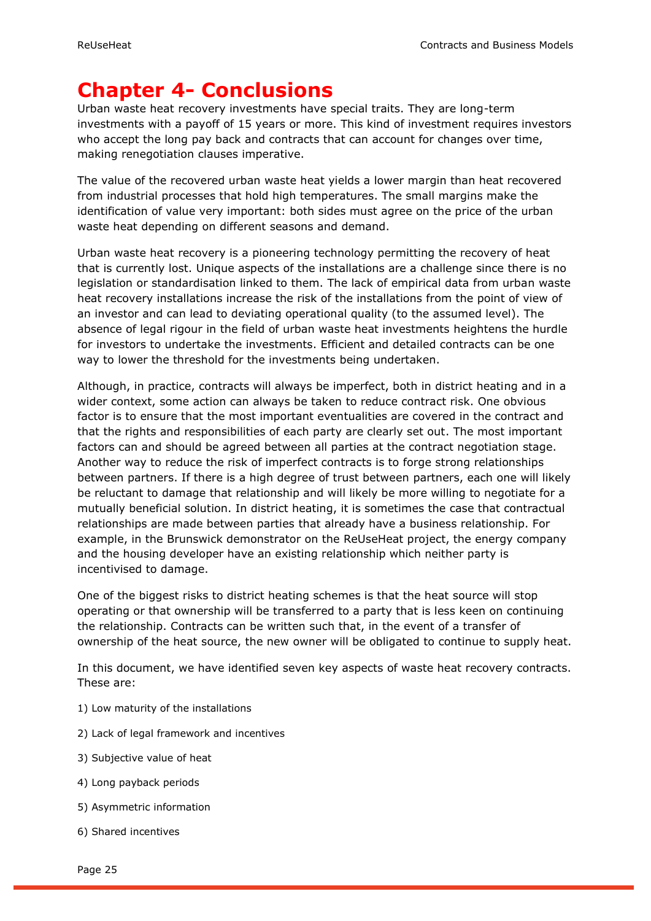## <span id="page-24-0"></span>**Chapter 4- Conclusions**

Urban waste heat recovery investments have special traits. They are long-term investments with a payoff of 15 years or more. This kind of investment requires investors who accept the long pay back and contracts that can account for changes over time, making renegotiation clauses imperative.

The value of the recovered urban waste heat yields a lower margin than heat recovered from industrial processes that hold high temperatures. The small margins make the identification of value very important: both sides must agree on the price of the urban waste heat depending on different seasons and demand.

Urban waste heat recovery is a pioneering technology permitting the recovery of heat that is currently lost. Unique aspects of the installations are a challenge since there is no legislation or standardisation linked to them. The lack of empirical data from urban waste heat recovery installations increase the risk of the installations from the point of view of an investor and can lead to deviating operational quality (to the assumed level). The absence of legal rigour in the field of urban waste heat investments heightens the hurdle for investors to undertake the investments. Efficient and detailed contracts can be one way to lower the threshold for the investments being undertaken.

Although, in practice, contracts will always be imperfect, both in district heating and in a wider context, some action can always be taken to reduce contract risk. One obvious factor is to ensure that the most important eventualities are covered in the contract and that the rights and responsibilities of each party are clearly set out. The most important factors can and should be agreed between all parties at the contract negotiation stage. Another way to reduce the risk of imperfect contracts is to forge strong relationships between partners. If there is a high degree of trust between partners, each one will likely be reluctant to damage that relationship and will likely be more willing to negotiate for a mutually beneficial solution. In district heating, it is sometimes the case that contractual relationships are made between parties that already have a business relationship. For example, in the Brunswick demonstrator on the ReUseHeat project, the energy company and the housing developer have an existing relationship which neither party is incentivised to damage.

One of the biggest risks to district heating schemes is that the heat source will stop operating or that ownership will be transferred to a party that is less keen on continuing the relationship. Contracts can be written such that, in the event of a transfer of ownership of the heat source, the new owner will be obligated to continue to supply heat.

In this document, we have identified seven key aspects of waste heat recovery contracts. These are:

- 1) Low maturity of the installations
- 2) Lack of legal framework and incentives
- 3) Subjective value of heat
- 4) Long payback periods
- 5) Asymmetric information
- 6) Shared incentives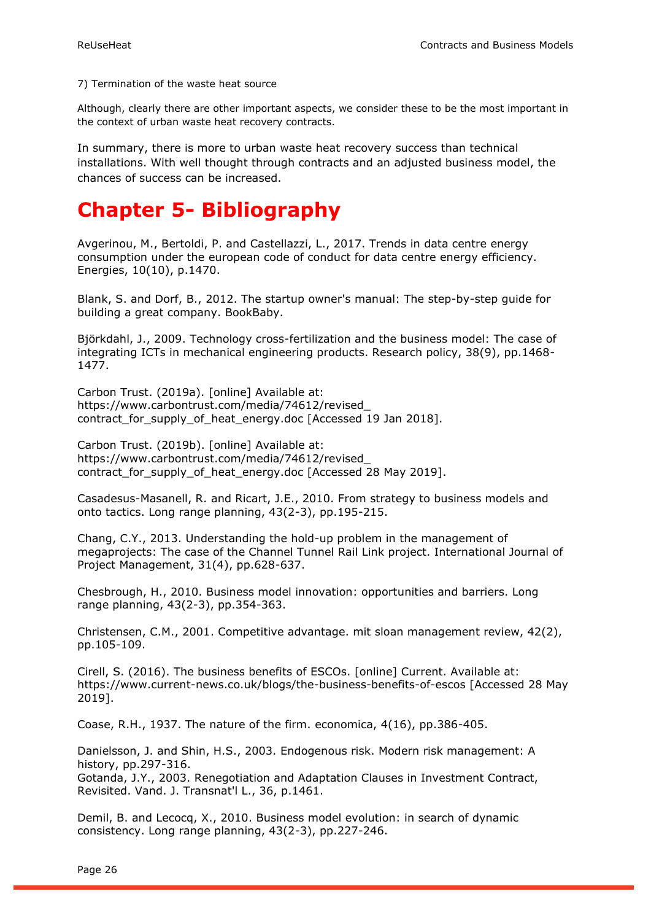7) Termination of the waste heat source

Although, clearly there are other important aspects, we consider these to be the most important in the context of urban waste heat recovery contracts.

In summary, there is more to urban waste heat recovery success than technical installations. With well thought through contracts and an adjusted business model, the chances of success can be increased.

## <span id="page-25-0"></span>**Chapter 5- Bibliography**

Avgerinou, M., Bertoldi, P. and Castellazzi, L., 2017. Trends in data centre energy consumption under the european code of conduct for data centre energy efficiency. Energies, 10(10), p.1470.

Blank, S. and Dorf, B., 2012. The startup owner's manual: The step-by-step guide for building a great company. BookBaby.

Björkdahl, J., 2009. Technology cross-fertilization and the business model: The case of integrating ICTs in mechanical engineering products. Research policy, 38(9), pp.1468- 1477.

Carbon Trust. (2019a). [online] Available at: https://www.carbontrust.com/media/74612/revised\_ contract for supply of heat energy.doc [Accessed 19 Jan 2018].

Carbon Trust. (2019b). [online] Available at: https://www.carbontrust.com/media/74612/revised\_ contract for supply of heat energy.doc [Accessed 28 May 2019].

Casadesus-Masanell, R. and Ricart, J.E., 2010. From strategy to business models and onto tactics. Long range planning, 43(2-3), pp.195-215.

Chang, C.Y., 2013. Understanding the hold-up problem in the management of megaprojects: The case of the Channel Tunnel Rail Link project. International Journal of Project Management, 31(4), pp.628-637.

Chesbrough, H., 2010. Business model innovation: opportunities and barriers. Long range planning, 43(2-3), pp.354-363.

Christensen, C.M., 2001. Competitive advantage. mit sloan management review, 42(2), pp.105-109.

Cirell, S. (2016). The business benefits of ESCOs. [online] Current. Available at: https://www.current-news.co.uk/blogs/the-business-benefits-of-escos [Accessed 28 May 2019].

Coase, R.H., 1937. The nature of the firm. economica, 4(16), pp.386-405.

Danielsson, J. and Shin, H.S., 2003. Endogenous risk. Modern risk management: A history, pp.297-316.

Gotanda, J.Y., 2003. Renegotiation and Adaptation Clauses in Investment Contract, Revisited. Vand. J. Transnat'l L., 36, p.1461.

Demil, B. and Lecocq, X., 2010. Business model evolution: in search of dynamic consistency. Long range planning, 43(2-3), pp.227-246.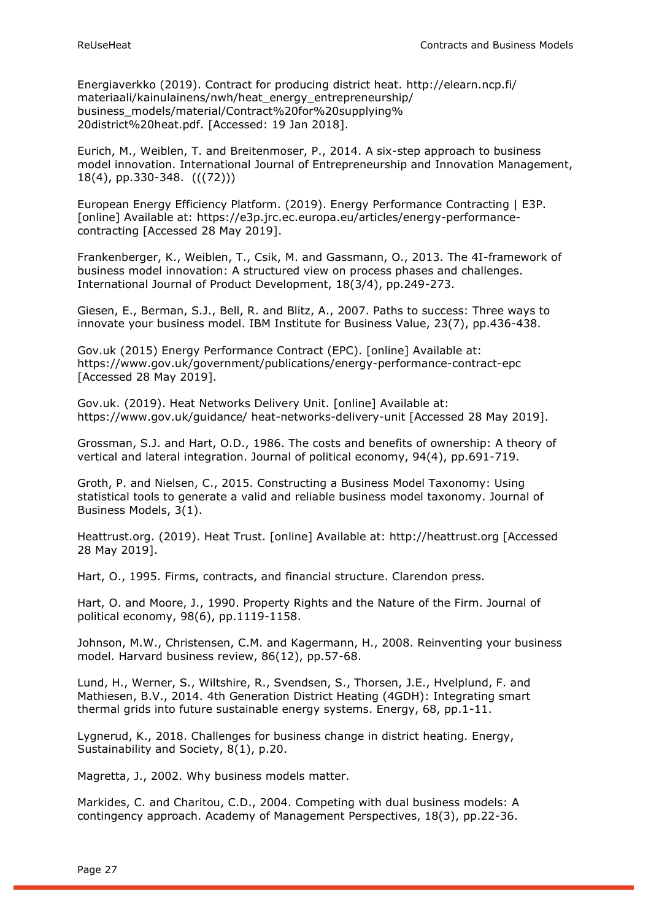Energiaverkko (2019). Contract for producing district heat. http://elearn.ncp.fi/ materiaali/kainulainens/nwh/heat\_energy\_entrepreneurship/ business\_models/material/Contract%20for%20supplying% 20district%20heat.pdf. [Accessed: 19 Jan 2018].

Eurich, M., Weiblen, T. and Breitenmoser, P., 2014. A six-step approach to business model innovation. International Journal of Entrepreneurship and Innovation Management, 18(4), pp.330-348. (((72)))

European Energy Efficiency Platform. (2019). Energy Performance Contracting | E3P. [online] Available at: https://e3p.jrc.ec.europa.eu/articles/energy-performancecontracting [Accessed 28 May 2019].

Frankenberger, K., Weiblen, T., Csik, M. and Gassmann, O., 2013. The 4I-framework of business model innovation: A structured view on process phases and challenges. International Journal of Product Development, 18(3/4), pp.249-273.

Giesen, E., Berman, S.J., Bell, R. and Blitz, A., 2007. Paths to success: Three ways to innovate your business model. IBM Institute for Business Value, 23(7), pp.436-438.

Gov.uk (2015) Energy Performance Contract (EPC). [online] Available at: https://www.gov.uk/government/publications/energy-performance-contract-epc [Accessed 28 May 2019].

Gov.uk. (2019). Heat Networks Delivery Unit. [online] Available at: https://www.gov.uk/guidance/ heat-networks-delivery-unit [Accessed 28 May 2019].

Grossman, S.J. and Hart, O.D., 1986. The costs and benefits of ownership: A theory of vertical and lateral integration. Journal of political economy, 94(4), pp.691-719.

Groth, P. and Nielsen, C., 2015. Constructing a Business Model Taxonomy: Using statistical tools to generate a valid and reliable business model taxonomy. Journal of Business Models, 3(1).

Heattrust.org. (2019). Heat Trust. [online] Available at: http://heattrust.org [Accessed 28 May 2019].

Hart, O., 1995. Firms, contracts, and financial structure. Clarendon press.

Hart, O. and Moore, J., 1990. Property Rights and the Nature of the Firm. Journal of political economy, 98(6), pp.1119-1158.

Johnson, M.W., Christensen, C.M. and Kagermann, H., 2008. Reinventing your business model. Harvard business review, 86(12), pp.57-68.

Lund, H., Werner, S., Wiltshire, R., Svendsen, S., Thorsen, J.E., Hvelplund, F. and Mathiesen, B.V., 2014. 4th Generation District Heating (4GDH): Integrating smart thermal grids into future sustainable energy systems. Energy, 68, pp.1-11.

Lygnerud, K., 2018. Challenges for business change in district heating. Energy, Sustainability and Society, 8(1), p.20.

Magretta, J., 2002. Why business models matter.

Markides, C. and Charitou, C.D., 2004. Competing with dual business models: A contingency approach. Academy of Management Perspectives, 18(3), pp.22-36.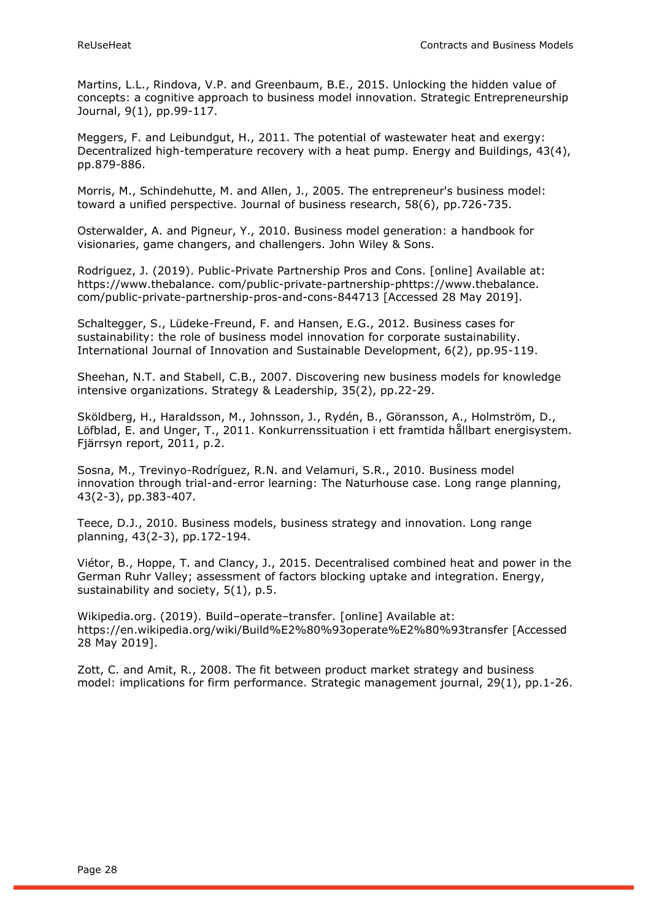Martins, L.L., Rindova, V.P. and Greenbaum, B.E., 2015. Unlocking the hidden value of concepts: a cognitive approach to business model innovation. Strategic Entrepreneurship Journal, 9(1), pp.99-117.

Meggers, F. and Leibundgut, H., 2011. The potential of wastewater heat and exergy: Decentralized high-temperature recovery with a heat pump. Energy and Buildings, 43(4), pp.879-886.

Morris, M., Schindehutte, M. and Allen, J., 2005. The entrepreneur's business model: toward a unified perspective. Journal of business research, 58(6), pp.726-735.

Osterwalder, A. and Pigneur, Y., 2010. Business model generation: a handbook for visionaries, game changers, and challengers. John Wiley & Sons.

Rodriguez, J. (2019). Public-Private Partnership Pros and Cons. [online] Available at: https://www.thebalance. com/public-private-partnership-phttps://www.thebalance. com/public-private-partnership-pros-and-cons-844713 [Accessed 28 May 2019].

Schaltegger, S., Lüdeke-Freund, F. and Hansen, E.G., 2012. Business cases for sustainability: the role of business model innovation for corporate sustainability. International Journal of Innovation and Sustainable Development, 6(2), pp.95-119.

Sheehan, N.T. and Stabell, C.B., 2007. Discovering new business models for knowledge intensive organizations. Strategy & Leadership, 35(2), pp.22-29.

Sköldberg, H., Haraldsson, M., Johnsson, J., Rydén, B., Göransson, A., Holmström, D., Löfblad, E. and Unger, T., 2011. Konkurrenssituation i ett framtida hållbart energisystem. Fjärrsyn report, 2011, p.2.

Sosna, M., Trevinyo-Rodríguez, R.N. and Velamuri, S.R., 2010. Business model innovation through trial-and-error learning: The Naturhouse case. Long range planning, 43(2-3), pp.383-407.

Teece, D.J., 2010. Business models, business strategy and innovation. Long range planning, 43(2-3), pp.172-194.

Viétor, B., Hoppe, T. and Clancy, J., 2015. Decentralised combined heat and power in the German Ruhr Valley; assessment of factors blocking uptake and integration. Energy, sustainability and society, 5(1), p.5.

Wikipedia.org. (2019). Build–operate–transfer. [online] Available at: https://en.wikipedia.org/wiki/Build%E2%80%93operate%E2%80%93transfer [Accessed 28 May 2019].

Zott, C. and Amit, R., 2008. The fit between product market strategy and business model: implications for firm performance. Strategic management journal, 29(1), pp.1-26.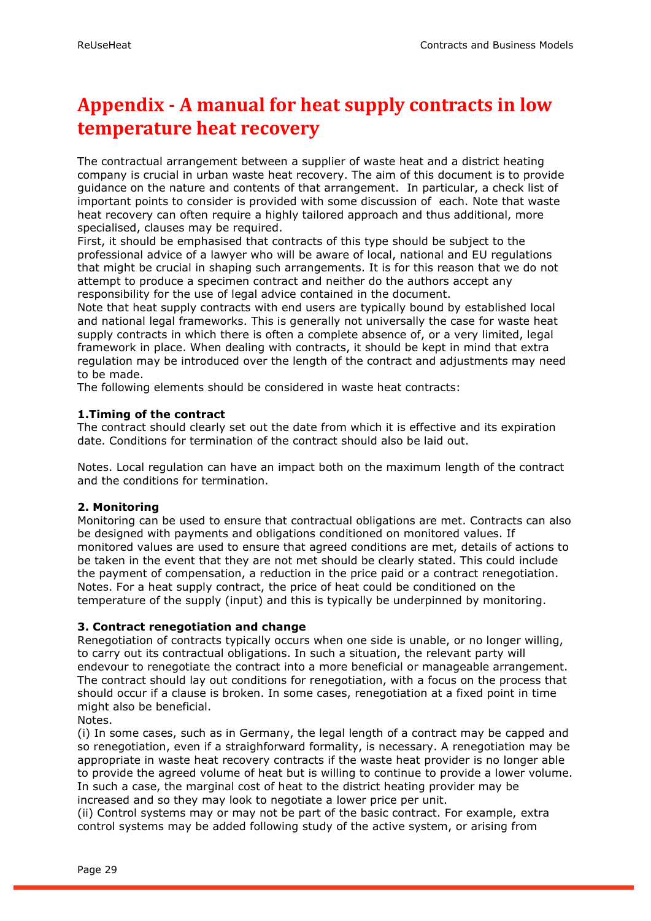## <span id="page-28-0"></span>**Appendix - A manual for heat supply contracts in low temperature heat recovery**

The contractual arrangement between a supplier of waste heat and a district heating company is crucial in urban waste heat recovery. The aim of this document is to provide guidance on the nature and contents of that arrangement. In particular, a check list of important points to consider is provided with some discussion of each. Note that waste heat recovery can often require a highly tailored approach and thus additional, more specialised, clauses may be required.

First, it should be emphasised that contracts of this type should be subject to the professional advice of a lawyer who will be aware of local, national and EU regulations that might be crucial in shaping such arrangements. It is for this reason that we do not attempt to produce a specimen contract and neither do the authors accept any responsibility for the use of legal advice contained in the document.

Note that heat supply contracts with end users are typically bound by established local and national legal frameworks. This is generally not universally the case for waste heat supply contracts in which there is often a complete absence of, or a very limited, legal framework in place. When dealing with contracts, it should be kept in mind that extra regulation may be introduced over the length of the contract and adjustments may need to be made.

The following elements should be considered in waste heat contracts:

#### **1.Timing of the contract**

The contract should clearly set out the date from which it is effective and its expiration date. Conditions for termination of the contract should also be laid out.

Notes. Local regulation can have an impact both on the maximum length of the contract and the conditions for termination.

#### **2. Monitoring**

Monitoring can be used to ensure that contractual obligations are met. Contracts can also be designed with payments and obligations conditioned on monitored values. If monitored values are used to ensure that agreed conditions are met, details of actions to be taken in the event that they are not met should be clearly stated. This could include the payment of compensation, a reduction in the price paid or a contract renegotiation. Notes. For a heat supply contract, the price of heat could be conditioned on the temperature of the supply (input) and this is typically be underpinned by monitoring.

#### **3. Contract renegotiation and change**

Renegotiation of contracts typically occurs when one side is unable, or no longer willing, to carry out its contractual obligations. In such a situation, the relevant party will endevour to renegotiate the contract into a more beneficial or manageable arrangement. The contract should lay out conditions for renegotiation, with a focus on the process that should occur if a clause is broken. In some cases, renegotiation at a fixed point in time might also be beneficial.

Notes.

(i) In some cases, such as in Germany, the legal length of a contract may be capped and so renegotiation, even if a straighforward formality, is necessary. A renegotiation may be appropriate in waste heat recovery contracts if the waste heat provider is no longer able to provide the agreed volume of heat but is willing to continue to provide a lower volume. In such a case, the marginal cost of heat to the district heating provider may be increased and so they may look to negotiate a lower price per unit.

(ii) Control systems may or may not be part of the basic contract. For example, extra control systems may be added following study of the active system, or arising from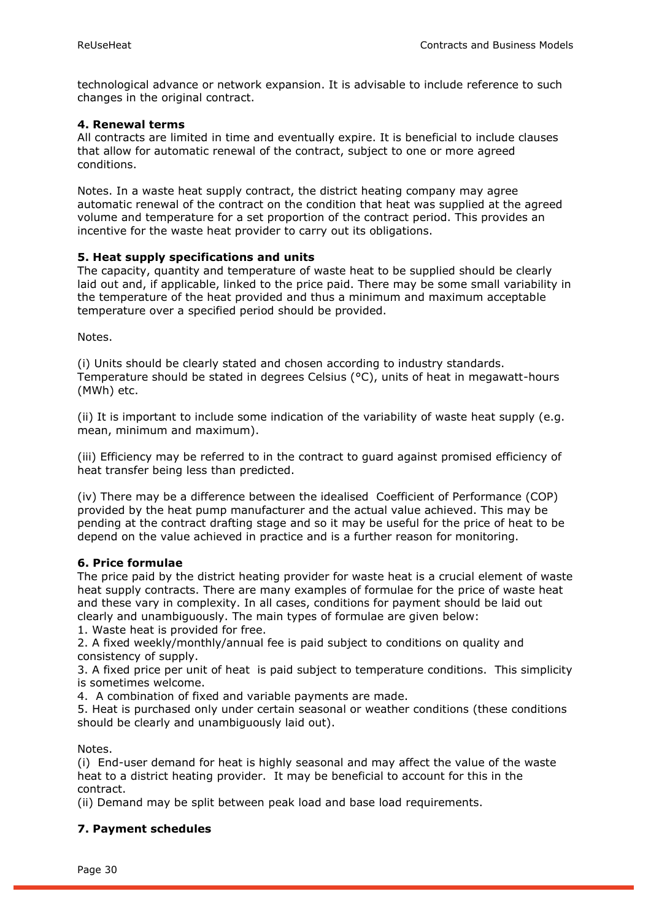technological advance or network expansion. It is advisable to include reference to such changes in the original contract.

#### **4. Renewal terms**

All contracts are limited in time and eventually expire. It is beneficial to include clauses that allow for automatic renewal of the contract, subject to one or more agreed conditions.

Notes. In a waste heat supply contract, the district heating company may agree automatic renewal of the contract on the condition that heat was supplied at the agreed volume and temperature for a set proportion of the contract period. This provides an incentive for the waste heat provider to carry out its obligations.

#### **5. Heat supply specifications and units**

The capacity, quantity and temperature of waste heat to be supplied should be clearly laid out and, if applicable, linked to the price paid. There may be some small variability in the temperature of the heat provided and thus a minimum and maximum acceptable temperature over a specified period should be provided.

Notes.

(i) Units should be clearly stated and chosen according to industry standards. Temperature should be stated in degrees Celsius (°C), units of heat in megawatt-hours (MWh) etc.

(ii) It is important to include some indication of the variability of waste heat supply (e.g. mean, minimum and maximum).

(iii) Efficiency may be referred to in the contract to guard against promised efficiency of heat transfer being less than predicted.

(iv) There may be a difference between the idealised Coefficient of Performance (COP) provided by the heat pump manufacturer and the actual value achieved. This may be pending at the contract drafting stage and so it may be useful for the price of heat to be depend on the value achieved in practice and is a further reason for monitoring.

#### **6. Price formulae**

The price paid by the district heating provider for waste heat is a crucial element of waste heat supply contracts. There are many examples of formulae for the price of waste heat and these vary in complexity. In all cases, conditions for payment should be laid out clearly and unambiguously. The main types of formulae are given below:

1. Waste heat is provided for free.

2. A fixed weekly/monthly/annual fee is paid subject to conditions on quality and consistency of supply.

3. A fixed price per unit of heat is paid subject to temperature conditions. This simplicity is sometimes welcome.

4. A combination of fixed and variable payments are made.

5. Heat is purchased only under certain seasonal or weather conditions (these conditions should be clearly and unambiguously laid out).

Notes.

(i) End-user demand for heat is highly seasonal and may affect the value of the waste heat to a district heating provider. It may be beneficial to account for this in the contract.

(ii) Demand may be split between peak load and base load requirements.

#### **7. Payment schedules**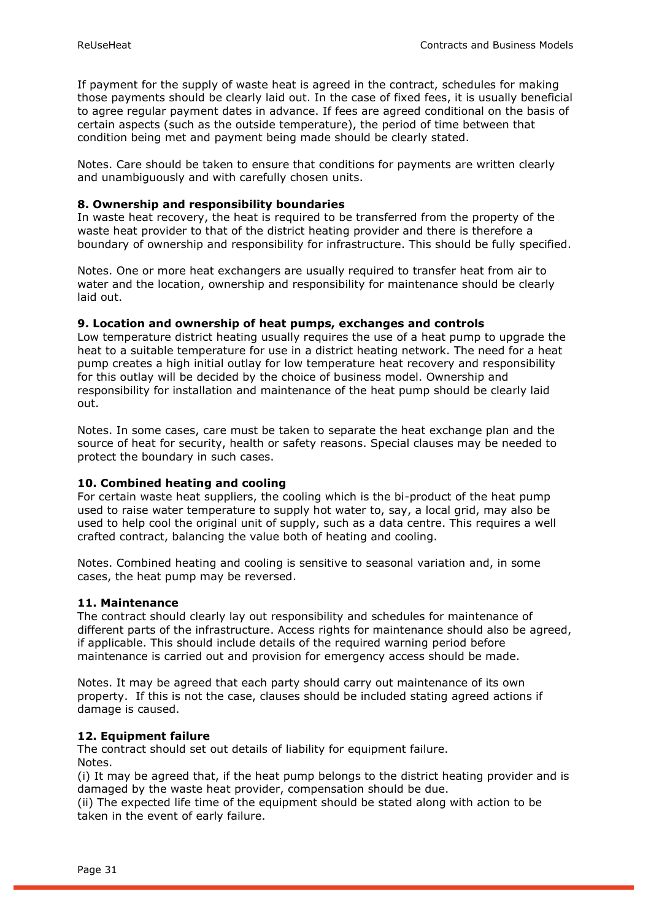If payment for the supply of waste heat is agreed in the contract, schedules for making those payments should be clearly laid out. In the case of fixed fees, it is usually beneficial to agree regular payment dates in advance. If fees are agreed conditional on the basis of certain aspects (such as the outside temperature), the period of time between that condition being met and payment being made should be clearly stated.

Notes. Care should be taken to ensure that conditions for payments are written clearly and unambiguously and with carefully chosen units.

#### **8. Ownership and responsibility boundaries**

In waste heat recovery, the heat is required to be transferred from the property of the waste heat provider to that of the district heating provider and there is therefore a boundary of ownership and responsibility for infrastructure. This should be fully specified.

Notes. One or more heat exchangers are usually required to transfer heat from air to water and the location, ownership and responsibility for maintenance should be clearly laid out.

#### **9. Location and ownership of heat pumps, exchanges and controls**

Low temperature district heating usually requires the use of a heat pump to upgrade the heat to a suitable temperature for use in a district heating network. The need for a heat pump creates a high initial outlay for low temperature heat recovery and responsibility for this outlay will be decided by the choice of business model. Ownership and responsibility for installation and maintenance of the heat pump should be clearly laid out.

Notes. In some cases, care must be taken to separate the heat exchange plan and the source of heat for security, health or safety reasons. Special clauses may be needed to protect the boundary in such cases.

#### **10. Combined heating and cooling**

For certain waste heat suppliers, the cooling which is the bi-product of the heat pump used to raise water temperature to supply hot water to, say, a local grid, may also be used to help cool the original unit of supply, such as a data centre. This requires a well crafted contract, balancing the value both of heating and cooling.

Notes. Combined heating and cooling is sensitive to seasonal variation and, in some cases, the heat pump may be reversed.

#### **11. Maintenance**

The contract should clearly lay out responsibility and schedules for maintenance of different parts of the infrastructure. Access rights for maintenance should also be agreed, if applicable. This should include details of the required warning period before maintenance is carried out and provision for emergency access should be made.

Notes. It may be agreed that each party should carry out maintenance of its own property. If this is not the case, clauses should be included stating agreed actions if damage is caused.

#### **12. Equipment failure**

The contract should set out details of liability for equipment failure. Notes.

(i) It may be agreed that, if the heat pump belongs to the district heating provider and is damaged by the waste heat provider, compensation should be due.

(ii) The expected life time of the equipment should be stated along with action to be taken in the event of early failure.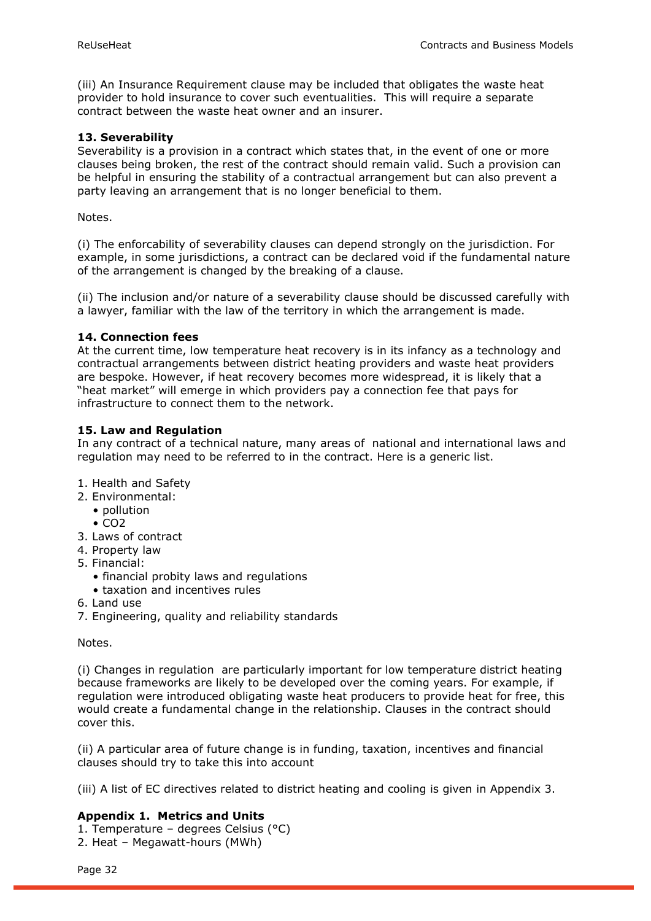(iii) An Insurance Requirement clause may be included that obligates the waste heat provider to hold insurance to cover such eventualities. This will require a separate contract between the waste heat owner and an insurer.

#### **13. Severability**

Severability is a provision in a contract which states that, in the event of one or more clauses being broken, the rest of the contract should remain valid. Such a provision can be helpful in ensuring the stability of a contractual arrangement but can also prevent a party leaving an arrangement that is no longer beneficial to them.

Notes.

(i) The enforcability of severability clauses can depend strongly on the jurisdiction. For example, in some jurisdictions, a contract can be declared void if the fundamental nature of the arrangement is changed by the breaking of a clause.

(ii) The inclusion and/or nature of a severability clause should be discussed carefully with a lawyer, familiar with the law of the territory in which the arrangement is made.

#### **14. Connection fees**

At the current time, low temperature heat recovery is in its infancy as a technology and contractual arrangements between district heating providers and waste heat providers are bespoke. However, if heat recovery becomes more widespread, it is likely that a "heat market" will emerge in which providers pay a connection fee that pays for infrastructure to connect them to the network.

#### **15. Law and Regulation**

In any contract of a technical nature, many areas of national and international laws and regulation may need to be referred to in the contract. Here is a generic list.

- 1. Health and Safety
- 2. Environmental:
	- pollution
		- $CO<sub>2</sub>$
- 3. Laws of contract
- 4. Property law
- 5. Financial:
	- financial probity laws and regulations
	- taxation and incentives rules
- 6. Land use
- 7. Engineering, quality and reliability standards

Notes.

(i) Changes in regulation are particularly important for low temperature district heating because frameworks are likely to be developed over the coming years. For example, if regulation were introduced obligating waste heat producers to provide heat for free, this would create a fundamental change in the relationship. Clauses in the contract should cover this.

(ii) A particular area of future change is in funding, taxation, incentives and financial clauses should try to take this into account

(iii) A list of EC directives related to district heating and cooling is given in Appendix 3.

#### **Appendix 1. Metrics and Units**

1. Temperature – degrees Celsius (°C) 2. Heat – Megawatt-hours (MWh)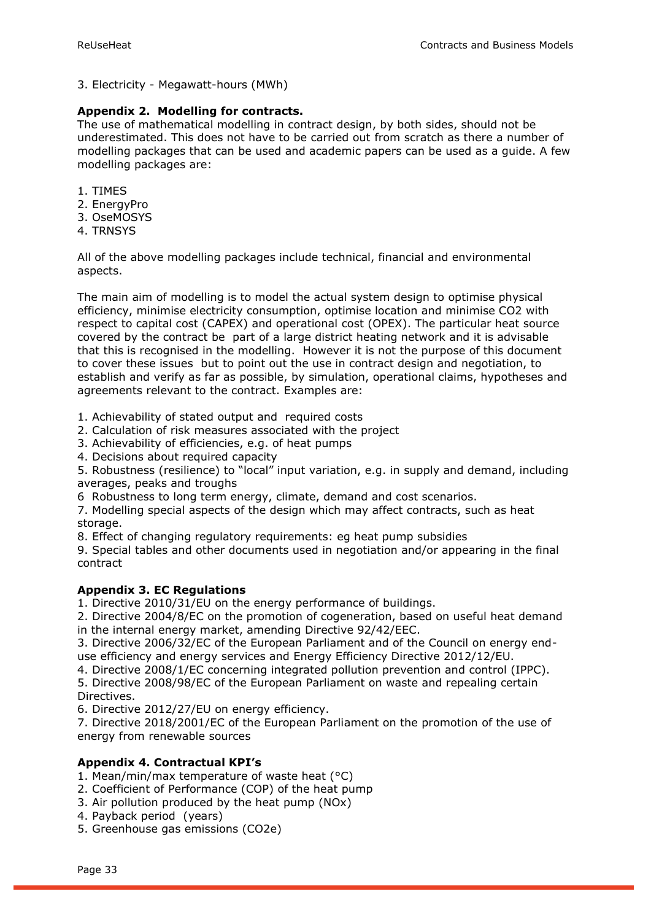3. Electricity - Megawatt-hours (MWh)

#### **Appendix 2. Modelling for contracts.**

The use of mathematical modelling in contract design, by both sides, should not be underestimated. This does not have to be carried out from scratch as there a number of modelling packages that can be used and academic papers can be used as a guide. A few modelling packages are:

- 1. TIMES
- 2. EnergyPro
- 3. OseMOSYS
- 4. TRNSYS

All of the above modelling packages include technical, financial and environmental aspects.

The main aim of modelling is to model the actual system design to optimise physical efficiency, minimise electricity consumption, optimise location and minimise CO2 with respect to capital cost (CAPEX) and operational cost (OPEX). The particular heat source covered by the contract be part of a large district heating network and it is advisable that this is recognised in the modelling. However it is not the purpose of this document to cover these issues but to point out the use in contract design and negotiation, to establish and verify as far as possible, by simulation, operational claims, hypotheses and agreements relevant to the contract. Examples are:

1. Achievability of stated output and required costs

- 2. Calculation of risk measures associated with the project
- 3. Achievability of efficiencies, e.g. of heat pumps
- 4. Decisions about required capacity

5. Robustness (resilience) to "local" input variation, e.g. in supply and demand, including averages, peaks and troughs

6 Robustness to long term energy, climate, demand and cost scenarios.

7. Modelling special aspects of the design which may affect contracts, such as heat storage.

8. Effect of changing regulatory requirements: eg heat pump subsidies

9. Special tables and other documents used in negotiation and/or appearing in the final contract

#### **Appendix 3. EC Regulations**

1. Directive 2010/31/EU on the energy performance of buildings.

2. Directive 2004/8/EC on the promotion of cogeneration, based on useful heat demand in the internal energy market, amending Directive 92/42/EEC.

3. Directive 2006/32/EC of the European Parliament and of the Council on energy enduse efficiency and energy services and Energy Efficiency Directive 2012/12/EU.

4. Directive 2008/1/EC concerning integrated pollution prevention and control (IPPC).

5. Directive 2008/98/EC of the European Parliament on waste and repealing certain Directives.

6. Directive 2012/27/EU on energy efficiency.

7. Directive 2018/2001/EC of the European Parliament on the promotion of the use of energy from renewable sources

#### **Appendix 4. Contractual KPI's**

1. Mean/min/max temperature of waste heat (°C)

- 2. Coefficient of Performance (COP) of the heat pump
- 3. Air pollution produced by the heat pump (NOx)
- 4. Payback period (years)

5. Greenhouse gas emissions (CO2e)